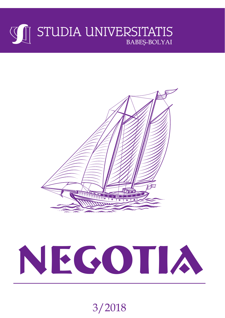# **WE STUDIA UNIVERSITATIS BABEŞ-BOLYAI**



# **NEGOTIA**

3/2018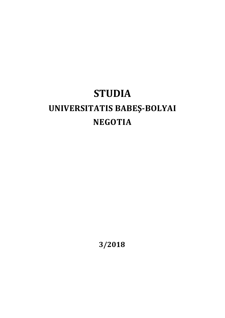# **STUDIA UNIVERSITATIS BABEŞ‐BOLYAI NEGOTIA**

**3/2018**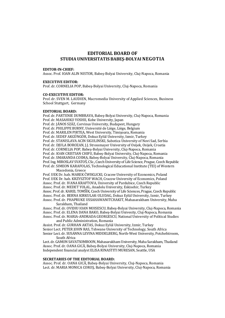## **EDITORIAL BOARD OF STUDIA UNIVERSITATIS BABEŞ‐BOLYAINEGOTIA**

#### **EDITOR‐IN‐CHIEF:**

Assoc. Prof. IOAN ALIN NISTOR, Babeş-Bolyai University, Cluj-Napoca, Romania

#### **EXECUTIVE EDITOR:**

Prof. dr. CORNELIA POP, Babes-Bolyai University, Cluj-Napoca, Romania

#### **CO‐EXECUTIVE EDITOR:**

Prof. dr. SVEN M. LAUDIEN, Macromedia University of Applied Sciences, Business School Stuttgart, Germany

#### **EDITORIAL BOARD:**

Prof. dr. PARTENIE DUMBRAVA, Babes-Bolyai University, Cluj-Napoca, Romania Prof. dr. MASAHIKO YOSHII, Kobe University, Japan Prof. dr. JÁNOS SZÁZ, Corvinus University, Budapest, Hungary Prof. dr. PHILIPPE BURNY, Université de Liège, Liège, Belgium Prof. dr. MARILEN PIRTEA, West University, Timişoara, Romania Prof. dr. SEDEF AKGÜNGÖR, Dokuz Eylül University, Izmir, Turkey Prof. dr. STANISLAVA ACIN SIGULINSKI, Subotica University of Novi Sad, Serbia Prof. dr. DJULA BOROZAN, J.J. Strossmayer University of Osijek, Osijek, Croatia Prof. dr. CORNELIA POP, Babes-Bolyai University, Cluj-Napoca, Romania Prof. dr. IOAN CRISTIAN CHIFU, Babes-Bolyai University, Cluj-Napoca, Romania Prof. dr. SMARANDA COSMA, Babeş-Bolyai University, Cluj-Napoca, Romania Prof. Ing. MIROSLAV SVATOŠ, CSc., Czech University of Life Science, Prague, Czech Republic Prof. dr. SIMEON KARAFOLAS, Technological Educational Institute (TEI) of Western Macedonia, Greece

Prof. UEK Dr. hab. MAREK ĆWIKLICKI, Cracow University of Economics, Poland Prof. UEK Dr. hab. KRZYSZTOF WACH, Cracow University of Economics, Poland Assoc. Prof. dr. IVANA KRAFTOVA, University of Pardubice, Czech Republic Assoc. Prof. dr. MEDET YOLAL, Anadolu University, Eskisehir, Turkey Assoc. Prof. dr. KAREL TOMŠÍK, Czech University of Life Sciences, Prague, Czech Republic Assoc. Prof. dr. BERNA KIRKULAK-ULUDAG, Dokuz Eylül University, Izmir, Turkey Assoc. Prof. dr. PHAPRUKE USSAHAWANITCHAKIT, Mahasarakham University, Maha Sarakham, Thailand

Assoc. Prof. dr. OVIDIU IOAN MOISESCU, Babes-Bolyai University, Cluj-Napoca, Romania Assoc. Prof. dr. ELENA DANA BAKO, Babeş‐Bolyai Univesity, Cluj‐Napoca, Romania Assoc. Prof. dr. MARIA-ANDRADA GEORGESCU, National University of Political Studies and Public Administration, Romania

Assist. Prof. dr. GURHAN AKTAS, Dokuz Eylül University, Izmir, Turkey Senior Lect. PETER JOHN RAS, Tshwane University of Technology, South Africa Senior Lect. dr. SUSANNA LEVINA MIDDELBERG, North-West University, Potchefstroom, South Africa 

Lect. dr. GAMON SAVATSOMBOON, Mahasarakham University, Maha Sarakham, Thailand Assoc. Prof. dr. OANA GICĂ, Babeş-Bolyai University, Cluj-Napoca, Romania Independent financial analyst ELISA RINASTITI MURESAN, Seattle, USA

#### **SECRETARIES OF THE EDITORIAL BOARD:**

Assoc. Prof. dr. OANA GICĂ, Babes-Bolyai University, Clui-Napoca, Romania Lect. dr. MARIA MONICA COROS, Babes-Bolyai University, Cluj-Napoca, Romania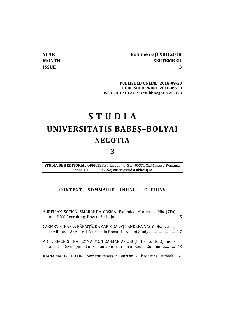**YEAR Volume 63(LXIII) 2018 MONTH SEPTEMBER ISSUE 3**

**PUBLISHED ONLINE: 2018‐09‐30 PUBLISHED PRINT: 2018‐09‐30 ISSUE DOI:10.24193/subbnegotia.2018.3**

# **S T U D I A UNIVERSITATIS BABEŞ–BOLYAI NEGOTIA**

**3**

**STUDIA UBB EDITORIAL OFFICE:** B.P. Hasdeu no. 51, 400371 Cluj‐Napoca, Romania, Phone + 40 264 405352; office@studia.ubbcluj.ro

#### **CONTENT – SOMMAIRE – INHALT – CUPRINS**

| AURELIAN SOFICĂ, SMARANDA COSMA, Extended Marketing Mix (7Ps)                                                                      |
|------------------------------------------------------------------------------------------------------------------------------------|
| CARMEN MIHAELA BĂBĂIȚĂ, DAMARIS GALAȚI, ANDREA NAGY, Discovering                                                                   |
| ADELINE-CRISTINA COZMA, MONICA-MARIA COROS, The Locals' Opinions<br>and the Development of Sustainable Tourism in Rodna Commune 43 |
| IOANA MARIA TRIPON, Competitiveness in Tourism: A Theoretical Outlook 67                                                           |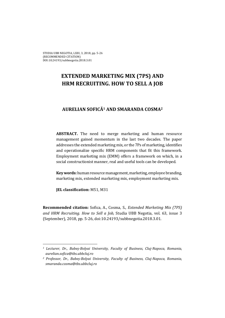# **EXTENDED MARKETING MIX (7PS) AND HRM RECRUITING. HOW TO SELL A JOB**

# **AURELIAN SOFICĂ<sup>1</sup> AND SMARANDA COSMA2**

**ABSTRACT.** The need to merge marketing and human resource management gained momentum in the last two decades. The paper addresses the extended marketing mix, or the 7Ps of marketing, identifies and operationalize specific HRM components that fit this framework. Employment marketing mix (EMM) offers a framework on which, in a social constructionist manner, real and useful tools can be developed.

**Key words:** human resource management, marketing, employee branding, marketing mix, extended marketing mix, employment marketing mix.

**JEL** classification: M51, M31

 

**Recommended citation:** Sofica, A., Cosma, S., *Extended Marketing Mix (7PS) and HRM Recruiting. How to Sell a Job,* Studia UBB Negotia, vol. 63, issue 3 (September), 2018, pp. 5-26, doi:10.24193/subbnegotia.2018.3.01.

*<sup>1</sup> Lecturer, Dr., Babeș‐Bolyai University, Faculty of Business, Cluj‐Napoca, Romania, aurelian.sofica@tbs.ubbcluj.ro*

*<sup>2</sup> Professor, Dr., Babeș‐Bolyai University, Faculty of Business, Cluj‐Napoca, Romania, smaranda.cosma@tbs.ubbcluj.ro*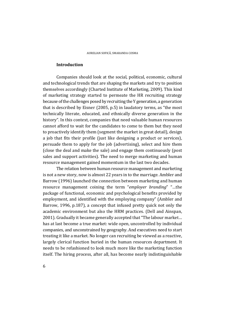#### **Introduction**

Companies should look at the social, political, economic, cultural and technological trends that are shaping the markets and try to position themselves accordingly (Charted Institute of Marketing, 2009). This kind of marketing strategy started to permeate the HR recruiting strategy because of the challenges posed by recruiting the Y generation, a generation that is described by Eisner  $(2005, p.5)$  in laudatory terms, as "the most technically literate, educated, and ethnically diverse generation in the history". In this context, companies that need valuable human resources cannot afford to wait for the candidates to come to them but they need to proactively identify them (segment the market in great detail), design a job that fits their profile (just like designing a product or services), persuade them to apply for the job (advertising), select and hire them (close the deal and make the sale) and engage them continuously (post) sales and support activities). The need to merge marketing and human resource management gained momentum in the last two decades.

The relation between human resource management and marketing is not a new story, now is almost 22 years in to the marriage. Ambler and Barrow (1996) launched the connection between marketing and human resource management coining the term "*employer branding*" "…the package of functional, economic and psychological benefits provided by employment, and identified with the employing company" (Ambler and Barrow, 1996, p.187), a concept that infused pretty quick not only the academic environment but also the HRM practices. (Dell and Ainspan, 2001). Gradually it became generally accepted that "The labour market... has at last become a true market: wide open, uncontrolled by individual companies, and unconstrained by geography. And executives need to start treating it like a market. No longer can recruiting be viewed as a reactive, largely clerical function buried in the human resources department. It needs to be refashioned to look much more like the marketing function itself. The hiring process, after all, has become nearly indistinguishable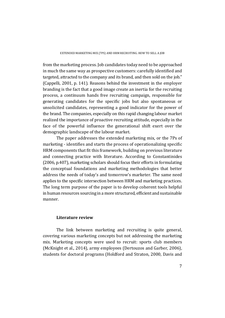from the marketing process. Job candidates today need to be approached in much the same way as prospective customers: carefully identified and targeted, attracted to the company and its brand, and then sold on the job." (Cappelli, 2001, p. 141). Reasons behind the investment in the employer branding is the fact that a good image create an inertia for the recruiting process, a continuum hands free recruiting campaign, responsible for generating candidates for the specific jobs but also spontaneous or unsolicited candidates, representing a good indicator for the power of the brand. The companies, especially on this rapid changing labour market realized the importance of proactive recruiting attitude, especially in the face of the powerful influence the generational shift exert over the demographic landscape of the labour market.

The paper addresses the extended marketing mix, or the 7Ps of marketing - identifies and starts the process of operationalizing specific HRM components that fit this framework, building on previous literature and connecting practice with literature. According to Constantinides  $(2006, p.407)$ , marketing scholars should focus their efforts in formulating the conceptual foundations and marketing methodologies that better address the needs of today's and tomorrow's marketer. The same need applies to the specific intersection between HRM and marketing practices. The long term purpose of the paper is to develop coherent tools helpful in human resources sourcing in a more structured, efficient and sustainable manner. 

#### **Literature review**

The link between marketing and recruiting is quite general, covering various marketing concepts but not addressing the marketing mix. Marketing concepts were used to recruit: sports club members (McKnight et al., 2014), army employees (Dertouzos and Garber, 2006), students for doctoral programs (Holdford and Straton, 2000, Davis and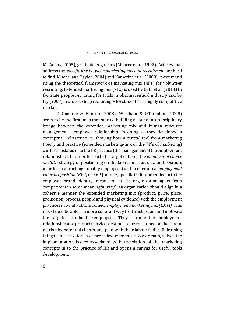McCarthy, 2005), graduate engineers (Maurer et al., 1992). Articles that address the *specific link between marketing mix and recruitment* are hard to find. Mitchel and Taylor (2004) and Katherine et al. (2008) recommend using the theoretical framework of marketing mix (4Ps) for volunteer recruiting. Extended marketing mix (7Ps) is used by Galli et al. (2014) to facilitate people recruiting for trials in pharmaceutical industry and by Ivy (2008) in order to help recruiting MBA students in a highly competitive market. 

O'Donohue & Hanson (2008), Wickham & O'Donohue (2009) seem to be the first ones that started building a sound interdisciplinary bridge between the extended marketing mix and human resource management - employee relationship. In doing so they developed a conceptual infrastructure, showing how a central tool from marketing theory and practice (extended marketing-mix or the 7P's of marketing) can be translated in to the HR practice (the management of the employment relationship). In order to reach the target of being the *employer of choice or EOC* (strategy of positioning on the labour market on a poll position, in order to attract high-quality employees) and to offer a real *employment value proposition (EVP)* or EVP (unique, specific traits embedded in to the employer brand identity, meant to set the organization apart from competitors in some meaningful way), an organization should align in a cohesive manner the extended marketing mix (product, price, place, promotion, process, people and physical evidence) with the employment practices in what authors coined, *employment marketing mix (EMM)*. This mix should be able in a more coherent way to attract, retain and motivate the targeted candidates/employees. They reframe the employment relationship as a product/service, destined to be consumed on the labour market by potential clients, and paid with their labour/skills. Reframing things like this offers a clearer view over this fuzzy domain, solves the implementation issues associated with translation of the marketing concepts in to the practice of HR and opens a canvas for useful tools development.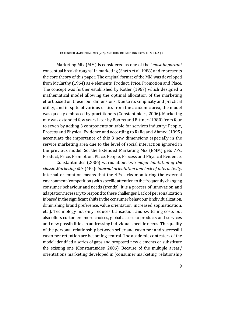Marketing Mix (MM) is considered as one of the "*most important* conceptual breakthroughs" in marketing (Sheth et al. 1988) and represents the core theory of this paper. The original format of the MM was developed from McCarthy (1964) as 4 elements: Product, Price, Promotion and Place. The concept was further established by Kotler (1967) which designed a mathematical model allowing the optimal allocation of the marketing effort based on these four dimensions. Due to its simplicity and practical utility, and in spite of various critics from the academic area, the model was quickly embraced by practitioners (Constantinides, 2006). Marketing mix was extended few years later by Booms and Bittner (1980) from four to seven by adding 3 components suitable for services industry: People, Process and Physical Evidence and according to Rafiq and Ahmed (1995) accentuate the importance of this 3 new dimensions especially in the service marketing area due to the level of social interaction ignored in the previous model. So, the Extended Marketing Mix (EMM) gets 7Ps: Product, Price, Promotion, Place, People, Process and Physical Evidence.

Constantinides (2006) warns about two *major limitation of the classic Marketing Mix* (4Ps): *internal orientation and lack of interactivity*. Internal orientation means that the 4Ps lacks monitoring the external environment (competition) with specific attention to the frequently changing consumer behaviour and needs (trends). It is a process of innovation and adaptation necessary to respond to these challenges. Lack of personalization is based in the significant shifts in the consumer behaviour (individualization, diminishing brand preference, value orientation, increased sophistication, etc.). Technology not only reduces transaction and switching costs but also offers customers more choices, global access to products and services and new possibilities in addressing individual specific needs. The quality of the personal relationship between seller and customer and successful customer retention are becoming central. The academic contesters of the model identified a series of gaps and proposed new elements or substitute the existing one (Constantinides, 2006). Because of the multiple  $\arccos$ / orientations marketing developed in (consumer marketing, relationship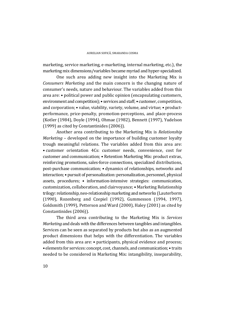marketing, service marketing, e-marketing, internal marketing, etc.), the marketing mix dimensions/variables became myriad and hyper-specialized.

One such area adding new insight into the Marketing Mix is *Consumers Marketing* and the main concern is the changing nature of consumer's needs, nature and behaviour. The variables added from this  $area are: \bullet$  political power and public opinion (encapsulating customers, environment and competition); • services and staff; • customer, competition, and corporation; • value, viability, variety, volume, and virtue; • productperformance, price-penalty, promotion-perceptions, and place-process (Kotler (1984), Doyle (1994), Ohmae (1982), Bennett (1997), Yudelson  $(1999)$  as cited by Constantinides  $(2006)$ ).

Another area contributing to the Marketing Mix is *Relationship Marketing* – developed on the importance of building customer loyalty trough meaningful relations. The variables added from this area are: • customer orientation 4Cs: customer needs, convenience, cost for customer and communication; • Retention Marketing Mix: product extras, reinforcing promotions, sales-force connections, specialized distributions, post-purchase communication; • dynamics of relationships, networks and interaction; • pursuit of personalization: personalization, personnel, physical assets, procedures; • information-intensive strategies: communication, customization, collaboration, and clairvoyance: • Marketing Relationship trilogy: relationship, neo-relationship marketing and networks (Lauterborm (1990), Rozenberg and Czepiel (1992), Gummesson (1994, 1997), Goldsmith (1999), Petterson and Ward (2000), Haley (2001) as cited by Constantinides (2006)).

The third area contributing to the Marketing Mix is *Services Marketing* and deals with the differences between tangibles and intangibles. Services can be seen as separated by products but also as an augmented product dimensions that helps with the differentiation. The variables added from this area are:  $\bullet$  participants, physical evidence and process; • elements for services: concept, cost, channels, and communication; • traits needed to be considered in Marketing Mix: intangibility, inseparability,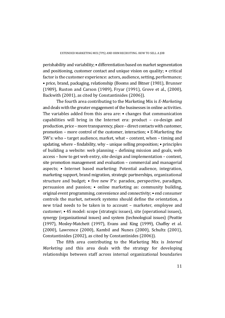$perishability$  and variability:  $\bullet$  differentiation based on market segmentation and positioning, customer contact and unique vision on quality;  $\bullet$  critical factor is the customer experience: actors, audience, setting, performance; • price, brand, packaging, relationship (Booms and Bitner (1981), Brunner (1989), Ruston and Carson (1989), Fryar (1991), Grove et al., (2000), Backwith (2001), as cited by Constantinides (2006)).

The fourth area contributing to the Marketing Mix is *E*-*Marketing* and deals with the greater engagement of the businesses in online activities. The variables added from this area are:  $\bullet$  changes that communication capabilities will bring in the Internet era: product  $-$  co-design and production, price – more transparency, place – direct contacts with customer, promotion – more control of the customer, interaction;  $\cdot$  E-Marketing the  $5W$ 's: who – target audience, market, what – content, when – timing and updating, where  $-$  findability, why  $-$  unique selling proposition;  $\bullet$  principles of building a website: web planning  $-$  defining mission and goals, web access – how to get web entry, site design and implementation – content, site promotion management and evaluation  $-$  commercial and managerial aspects; • Internet based marketing: Potential audience, integration, marketing support, brand migration, strategic partnerships, organizational structure and budget;  $\bullet$  five new P's: paradox, perspective, paradigm, persuasion and passion;  $\bullet$  online marketing as: community building, original event programming, convenience and connectivity; • end consumer controls the market, network systems should define the orientation, a new triad needs to be taken in to account - marketer, employee and customer; • 4S model: scope (strategic issues), site (operational issues), synergy (organizational issues) and system (technological issues) (Peattie  $(1997)$ , Mosley-Matchett  $(1997)$ , Evans and King  $(1999)$ , Chaffey et al. (2000), Lawrence (2000), Kambil and Nunes (2000), Schultz (2001), Constantinides (2002), as cited by Constantinides (2006)).

The fifth area contributing to the Marketing Mix is *Internal Marketing* and this area deals with the strategy for developing relationships between staff across internal organizational boundaries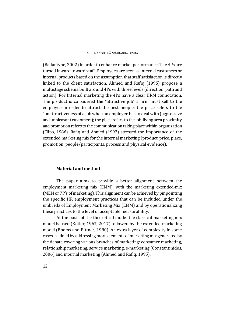(Ballantyne, 2002) in order to enhance market performance. The 4Ps are turned inward toward staff. Employees are seen as internal customers or internal products based on the assumption that staff satisfaction is directly linked to the client satisfaction. Ahmed and Rafiq (1995) propose a multistage schema built around 4Ps with three levels (direction, path and action). For Internal marketing the 4Ps have a clear HRM connotation. The product is considered the "attractive job" a firm must sell to the employee in order to attract the best people; the price refers to the "unattractiveness of a job when an employee has to deal with (aggressive and unpleasant customers); the place refers to the job-living area proximity and promotion refers to the communication taking place within organization (Flipo, 1986). Rafiq and Ahmed (1992) stressed the importance of the extended marketing mix for the internal marketing (product, price, place, promotion, people/participants, process and physical evidence).

#### **Material and method**

The paper aims to provide a better alignment between the employment marketing mix  $(EMM)$ , with the marketing extended-mix (MEM or 7P's of marketing). This alignment can be achieved by pinpointing the specific HR employment practices that can be included under the umbrella of Employment Marketing Mix (EMM) and by operationalizing these practices to the level of acceptable measurability.

At the basis of the theoretical model the classical marketing mix model is used (Kotler, 1967, 2017) followed by the extended marketing model (Booms and Bittner, 1980). An extra layer of complexity in some cases is added by addressing more elements of marketing mix generated by the debate covering various branches of marketing: consumer marketing, relationship marketing, service marketing, e-marketing (Constantinides, 2006) and internal marketing (Ahmed and Rafiq, 1995).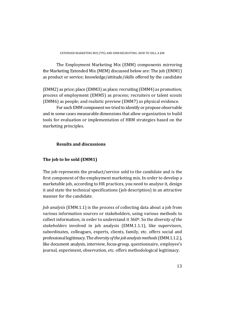The Employment Marketing Mix (EMM) components mirroring the Marketing Extended Mix (MEM) discussed below are: The job (EMM1) as product or service; knowledge/attitude/skills offered by the candidate

 $[EMM2]$  as price; place  $[EMM3]$  as place; recruiting  $[EMM4]$  as promotion; process of employment (EMM5) as process; recruiters or talent scouts (EMM6) as people; and realistic preview (EMM7) as physical evidence.

For each EMM component we tried to identify or propose observable and in some cases measurable dimensions that allow organization to build tools for evaluation or implementation of HRM strategies based on the marketing principles.

# **Results and discussions**

# **The job to be sold (EMM1)**

The job represents the product/service sold to the candidate and is the first component of the employment marketing mix. In order to develop a marketable job, according to HR practices, you need to analyse it, design it and state the technical specifications (job description) in an attractive manner for the candidate.

*Job analysis* (EMM.1.1) is the process of collecting data about a job from various information sources or stakeholders, using various methods to collect information, in order to understand it 360<sup>0</sup>. So the *diversity of the stakeholders* involved in job analysis (EMM.1.1.1), like supervisors, subordinates, colleagues, experts, clients, family, etc. offers social and professional legitimacy. The *diversity ofthe jobanalysismethods*(EMM.1.1.2.), like document analysis, interview, focus-group, questionnaire, employee's journal, experiment, observation, etc. offers methodological legitimacy.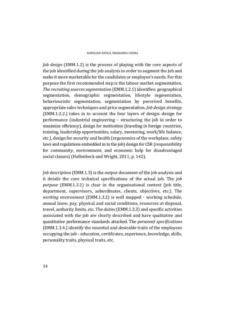*Job design* (EMM.1.2) is the process of playing with the core aspects of the job identified during the job analysis in order to augment the job and make it more marketable for the candidates or employee's needs. For this purpose the first recommended step is the labour market segmentation. *The recruiting sources segmentation* (EMM.1.2.1) identifies: geographical segmentation, demographic segmentation, lifestyle segmentation, behaviouristic segmentation, segmentation by perceived benefits, appropriate sales techniques and price segmentation. *Job design strategy*  $[EMM.1.2.2.]$  takes in to account the four layers of design: design for performance (industrial engineering – structuring the job in order to maximize efficiency), design for motivation (traveling in foreign countries, training, leadership opportunities, salary, mentoring, work/life balance, etc.), design for security and health (ergonomics of the workplace, safety laws and regulations embedded in to the job) design for CSR (responsibility for community, environment, and economic help for disadvantaged social classes) (Hollenbeck and Wright, 2011, p. 142).

*Job description* (EMM.1.3) is the output document of the job analysis and it details the core technical specifications of the actual job. The *job purpose* (EMM.1.3.1) is clear in the organizational context (job title, department, supervisors, subordinates, clients, objectives, etc.). The *working environment* (EMM.1.3.2) is well mapped - working schedule, annual leave, pay, physical and social conditions, resources at disposal, travel, authority limits, etc. The *duties* (EMM.1.3.3) and specific activities associated with the job are clearly described and have qualitative and quantitative performance standards attached. The *personnel specifications* (EMM.1.3.4.) identify the essential and desirable traits of the employees occupying the job - education, certificates, experience, knowledge, skills, personality traits, physical traits, etc.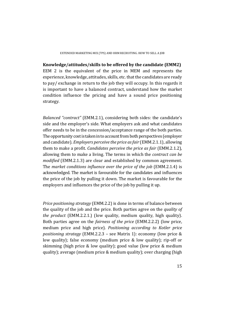**Knowledge/attitudes/skills to be offered by the candidate (EMM2)** EEM 2 is the equivalent of the price in MEM and represents the experience, knowledge, attitudes, skills, etc. that the candidates are ready to pay/ exchange in return to the job they will occupy. In this regards it is important to have a balanced contract, understand how the market condition influence the pricing and have a sound price positioning strategy. 

*Balanced* "*contract*" (EMM.2.1), considering both sides: the candidate's side and the employer's side. What employers ask and what candidates offer needs to be in the concession/acceptance range of the both parties. The opportunity cost is taken in to account from both perspectives (employer and candidate). *Employers perceive the price asfair* (EMM.2.1.1), allowing them to make a profit. *Candidates perceive the price as fair* (EMM.2.1.2)*,* allowing them to make a living. The terms in which the *contract can be modified* (EMM.2.1.3) are clear and established by common agreement. The *market conditions influence over the price of the job* (EMM.2.1.4) is acknowledged. The market is favourable for the candidates and influences the price of the job by pulling it down. The market is favourable for the employers and influences the price of the job by pulling it up.

*Price positioning strategy* (EMM.2.2) is done in terms of balance between the quality of the job and the price. Both parties agree on the *quality* of *the product* (EMM.2.2.1.) (low quality, medium quality, high quality). Both parties agree on the *fairness of the price* (EMM.2.2.2) (low price, medium price and high price). *Positioning according to Kotler price positioning strategy* (EMM.2.2.3 – see Matrix 1): economy (low price & low quality); false economy (medium price & low quality); rip-off or skimming (high price  $&$  low quality); good value (low price  $&$  medium quality); average (medium price  $&$  medium quality); over charging (high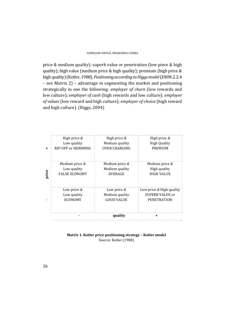price & medium quality); superb value or penetration (low piece  $&$  high quality); high value (medium price & high quality); premium (high price  $\&$ high quality) (Kotler, 1988). *Positioning according to Higgs model* (EMM.2.2.4)  $-$  see Matrix 2) – advantage in segmenting the market and positioning strategically in one the following: *employer of churn* (low rewards and low culture); *employer of cash* (high rewards and low culture); *employer of values* (low reward and high culture); *employer of choice* (high reward and high culture). (Higgs, 2004)

|       |                      | quality              |                            |
|-------|----------------------|----------------------|----------------------------|
|       | Low price $&$        | Low price $&$        | Low price $&$ High quality |
|       | Low quality          | Medium quality       | SUPERB VALUE or            |
|       | ECONOMY              | <b>GOOD VALUE</b>    | <b>PENETRATION</b>         |
| price | Medium price $&$     | Medium price $&$     | Medium price $&$           |
|       | Low quality          | Medium quality       | High quality               |
|       | <b>FALSE ECONOMY</b> | AVERAGE              | <b>HIGH VALUE</b>          |
|       | High price $&$       | High price $&$       | High price $&$             |
|       | Low quality          | Medium quality       | <b>High Quality</b>        |
|       | RIP-OFF or SKIMMING  | <b>OVER CHARGING</b> | <b>PREMIUM</b>             |

#### **Matrix 1. Kotler price positioning strategy – Kotler model** Source: Kotler (1988)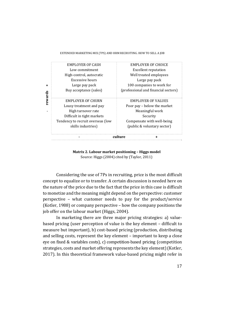#### EXTENDED MARKETING MIX (7PS) AND HRM RECRUITING. HOW TO SELL A JOB

|         | culture                           |                                      |  |
|---------|-----------------------------------|--------------------------------------|--|
|         |                                   |                                      |  |
|         | skills industries)                | (public & voluntary sector)          |  |
|         | Tendency to recruit overseas (low | Compensate with well-being           |  |
|         | Difficult in tight markets        | Security                             |  |
|         | High turnover rate                | Meaningful work                      |  |
|         | Lousy treatment and pay           | Poor pay – below the market          |  |
|         | <b>EMPLOYER OF CHURN</b>          | <b>EMPLOYER OF VALUES</b>            |  |
| rewards |                                   |                                      |  |
|         | Buy acceptance (sales)            | (professional and financial sectors) |  |
| ÷       | Large pay pack                    | 100 companies to work for            |  |
|         | Excessive hours                   | Large pay pack                       |  |
|         | High-control, autocratic          | Well treated employees               |  |
|         | Low commitment                    | <b>Excellent reputation</b>          |  |
|         | <b>EMPLOYER OF CASH</b>           | EMPLOYER OF CHOICE                   |  |

**Matrix 2. Labour market positioning – Higgs model** Source: Higgs (2004) cited by (Taylor, 2011)

Considering the use of 7Ps in recruiting, price is the most difficult concept to equalize or to transfer. A certain discussion is needed here on the nature of the price due to the fact that the price in this case is difficult to monetize and the meaning might depend on the perspective: customer perspective  $-$  what customer needs to pay for the product/service (Kotler, 1988) or company perspective  $-$  how the company positions the job offer on the labour market (Higgs, 2004).

In marketing there are three major pricing strategies: a) valuebased pricing (user perception of value is the key element - difficult to measure but important), b) cost-based pricing (production, distributing and selling costs, represent the key element - important to keep a close eye on fixed & variables costs), c) competition-based pricing (competition strategies, costs and market offering represents the key element) (Kotler, 2017). In this theoretical framework value-based pricing might refer in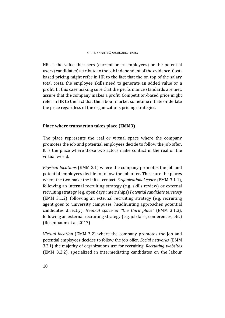HR as the value the users (current or ex-employees) or the potential users (candidates) attribute to the job independent of the evidence. Costbased pricing might refer in HR to the fact that the on top of the salary total costs, the employee skills need to generate an added value or a profit. In this case making sure that the performance standards are met, assure that the company makes a profit. Competition-based price might refer in HR to the fact that the labour market sometime inflate or deflate the price regardless of the organizations pricing strategies.

# **Place where transaction takes place (EMM3)**

The place represents the real or virtual space where the company promotes the job and potential employees decide to follow the job offer. It is the place where those two actors make contact in the real or the virtual world.

*Physical locations* (EMM 3.1) where the company promotes the *job* and potential employees decide to follow the job offer. These are the places where the two make the initial contact. *Organizational space* (EMM 3.1.1), following an internal recruiting strategy (e.g. skills review) or external recruiting strategy (e.g. open days, internships) *Potential candidate territory* (EMM 3.1.2), following an external recruiting strategy (e.g. recruiting agent goes to university campuses, headhunting approaches potential candidates directly). *Neutral space or "the third place"* (EMM 3.1.3), following an external recruiting strategy (e.g. job fairs, conferences, etc.) (Rosenbaum et al. 2017)

*Virtual location* (EMM 3.2) where the company promotes the job and potential employees decides to follow the job offer. *Social networks* (EMM 3.2.1) the majority of organizations use for recruiting. *Recruiting websites* (EMM 3.2.2), specialized in intermediating candidates on the labour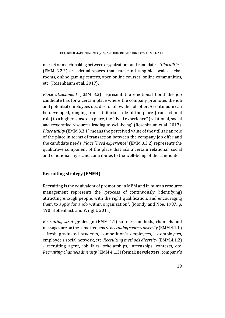market or matchmaking between organizations and candidates. *"Glocalities"*  $[EMM 3.2.3]$  are virtual spaces that transcend tangible locales - chat rooms, online gaming centers, open online courses, online communities, etc. (Rosenbaum et al. 2017).

*Place attachment* (EMM 3.3) represent the emotional bond the job candidate has for a certain place where the company promotes the job and potential employees decides to follow the job offer. A continuum can be developed, ranging from utilitarian role of the place (transactional role) to a higher sense of a place, the "lived experience" (relational, social and restorative resources leading to well-being) (Rosenbaum et al. 2017). *Place utility* (EMM 3.3.1) means the perceived value of the utilitarian role of the place in terms of transaction between the company job offer and the candidate needs. *Place "lived experience"* (EMM 3.3.2) represents the qualitative component of the place that ads a certain relational, social and emotional layer and contributes to the well-being of the candidate.

# **Recruiting strategy (EMM4)**

Recruiting is the equivalent of promotion in MEM and in human resource management represents the "process of continuously (identifying) attracting enough people, with the right qualification, and encouraging them to apply for a job within organization". (Mondy and Noe, 1987, p. 190; Hollenback and Wright, 2011)

*Recruiting strategy* design (EMM 4.1) sources, methods, channels and messages are on the same frequency. *Recruiting sources diversity* (EMM.4.1.1.) - fresh graduated students, competition's employees, ex-employees, employee's social network, etc. *Recruiting methods diversity* (EMM.4.1.2) - recruiting agent, job fairs, scholarships, internships, contests, etc. *Recruiting channels diversity* (EMM 4.1.3) formal: newsletters, company's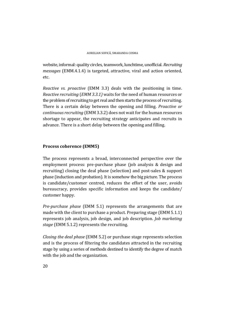website, informal: quality circles, teamwork, lunchtime, unofficial, *Recruiting messages* (EMM.4.1.4) is targeted, attractive, viral and action oriented, etc. 

*Reactive vs. proactive* (EMM 3.3) deals with the positioning in time. *Reactive recruiting* (*EMM 3.3.1*) waits for the need of human resources or the problem of recruiting to get real and then starts the process of recruiting. There is a certain delay between the opening and filling. *Proactive or continuous recruiting* (EMM 3.3.2) does not wait for the human resources shortage to appear, the recruiting strategy anticipates and recruits in advance. There is a short delay between the opening and filling.

# **Process coherence (EMM5)**

The process represents a broad, interconnected perspective over the employment process: pre-purchase phase (job analysis  $&$  design and recruiting) closing the deal phase (selection) and post-sales & support phase (induction and probation). It is somehow the big picture. The process is candidate/customer centred, reduces the effort of the user, avoids bureaucracy, provides specific information and keeps the candidate/ customer happy.

*Pre-purchase phase* (EMM 5.1) represents the arrangements that are made with the client to purchase a product. Preparing stage (EMM  $5.1.1$ ) represents job analysis, job design, and job description. *Job marketing* stage (EMM 5.1.2) represents the recruiting.

*Closing the deal phase* (EMM 5.2) or purchase stage represents selection and is the process of filtering the candidates attracted in the recruiting stage by using a series of methods destined to identify the degree of match with the job and the organization.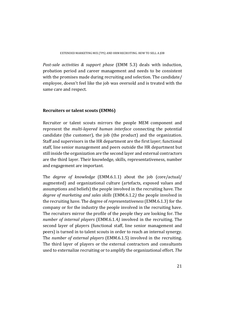*Post‐sale activities & support phase* (EMM 5.3) deals with induction, probation period and career management and needs to be consistent with the promises made during recruiting and selection. The candidate/ employee, doesn't feel like the job was oversold and is treated with the same care and respect.

# **Recruiters or talent scouts (EMM6)**

Recruiter or talent scouts mirrors the people MEM component and represent the *multi-layered human interface* connecting the potential candidate (the customer), the job (the product) and the organization. Staff and supervisors in the HR department are the first layer; functional staff, line senior management and peers outside the HR department but still inside the organization are the second layer and external contractors are the third layer. Their knowledge, skills, representativeness, number and engagement are important.

The *degree* of *knowledge* (EMM.6.1.1) about the job (core/actual/ augmented) and organizational culture (artefacts, exposed values and assumptions and beliefs) the people involved in the recruiting have. The *degree of marketing and sales skills* (EMM.6.1.2) the people involved in the recruiting have. The degree of *representativeness* (EMM.6.1.3) for the company or for the industry the people involved in the recruiting have. The recruiters mirror the profile of the people they are looking for. The *number of internal players* (EMM.6.1.4) involved in the recruiting. The second layer of players (functional staff, line senior management and peers) is turned in to talent scouts in order to reach an internal synergy. The *number* of *external players* (EMM.6.1.5) involved in the recruiting. The third layer of players or the external contractors and consultants used to externalize recruiting or to amplify the organizational effort. The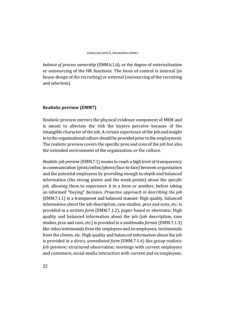*balance of process ownership* (EMM.6.1.6), or the degree of externalization or outsourcing of the HR functions. The locus of control is internal (in house design of the recruiting) or external (outsourcing of the recruiting and selection).

# **Realistic preview (EMM7)**

Realistic preview mirrors the physical evidence component of MEM and is meant to alleviate the risk the buyers perceive because of the intangible character of the job. A certain experience of the job and insight in to the organizational culture should be provided prior to the employment. The realistic preview covers the specific pros and cons of the job but also the extended environment of the organization, or the culture.

*Realistic job preview* (EMM.7.1) means to reach a high level of transparency in communication (print/online/phone/face-to-face) between organization and the potential employees by providing enough in-depth and balanced information (the strong points and the weak points) about the *specific job*, allowing them to experience it in a form or another, before taking an informed "buying" decision. *Proactive approach in describing the job* (EMM.7.1.1) in a transparent and balanced manner. High quality, balanced information about the job description, case studies, pros and cons, etc. is provided in a *written form* (EMM.7.1.2), paper based or electronic. High quality and balanced information about the job (job description, case studies, pros and cons, etc.) is provided in a *multimedia format* (EMM.7.1.3) like video testimonials from the employees and ex-employees, testimonials from the clients, etc. High quality and balanced information about the job is provided in a *direct, unmediated form* (EMM.7.1.4) like group realistic job preview; structured observation; meetings with current employees and customers; social media interaction with current and ex-employees.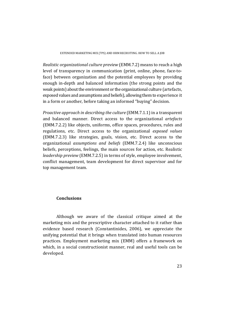*Realistic organizational culture preview* (EMM.7.2) means to reach a high level of transparency in communication (print, online, phone, face-toface) between organization and the potential employees by providing enough in-depth and balanced information (the strong points and the weak points) about the environment or the organizational culture (artefacts, exposed values and assumptions and beliefs), allowing them to experience it in a form or another, before taking an informed "buying" decision.

*Proactive approach in describing the culture* (EMM.7.1.1) in a transparent and balanced manner. Direct access to the organizational *artefacts* (EMM.7.2.2) like objects, uniforms, office spaces, procedures, rules and regulations, etc. Direct access to the organizational *exposed values* (EMM.7.2.3) like strategies, goals, vision, etc. Direct access to the organizational *assumptions and beliefs* (EMM.7.2.4) like unconscious beliefs, perceptions, feelings, the main sources for action, etc. Realistic *leadership preview* (EMM.7.2.5) in terms of style, employee involvement, conflict management, team development for direct supervisor and for top management team.

### **Conclusions**

Although we aware of the classical critique aimed at the marketing mix and the prescriptive character attached to it rather than evidence based research (Constantinides, 2006), we appreciate the unifying potential that it brings when translated into human resources practices. Employment marketing mix (EMM) offers a framework on which, in a social constructionist manner, real and useful tools can be developed.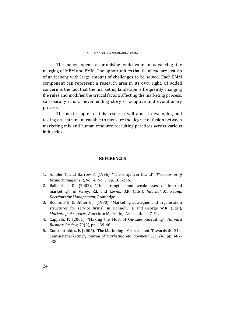The paper opens a promising endeavour in advancing the merging of MEM and EMM. The opportunities that lie ahead are just tip of an iceberg with large amount of challenges to be solved. Each EMM component can represent a research area in its own right. Of added concern is the fact that the marketing landscape is frequently changing the rules and modifies the critical factors affecting the marketing process, so basically it is a never ending story of adaptive and evolutionary process. 

The next chapter of this research will aim at developing and testing an instrument capable to measure the degree of fusion between marketing mix and human resource recruiting practices across various industries. 

#### **REFERENCES**

- 1. Ambler T. and Barrow S. (1996), "The Employer Brand", The Journal of *Brand Management*, Vol. 4, No. 3, pp. 185-206.
- 2. Ballantine, D. (2002), "The strengths and weaknesses of internal marketing", in Varey, R.J. and Lewis, B.R. (Eds.), *Internal Marketing. Decisions for Management*, Routledge.
- 3. Booms B.H. & Bitner B.J. (1980), "Marketing strategies and organisation structures for service firms", in Donnelly, J. and George W.R. (Eds.), *Marketing of services*, American Marketing Association, 47‐51.
- 4. Cappelli, P. (2001), "Making the Most of On-Line Recruiting", *Harvard Business Review,* 79(3), pp. 139-46.
- 5. Constantinides, E. (2006), "The Marketing Mix revisited: Towards the 21st Century marketing", *Journal of Marketing Management* 22(3/4), pp. 407‐ 438.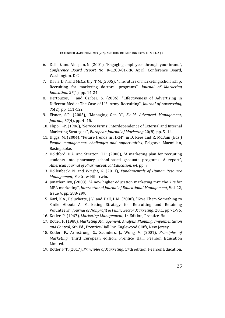- 6. Dell, D. and Ainspan, N. (2001), "Engaging employees through your brand", *Conference Board Report* No. R‐1288‐01‐RR, April, Conference Board, Washington, D.C.
- 7. Davis, D.F. and McCarthy, T.M. (2005), "The future of marketing scholarship: Recruiting for marketing doctoral programs", *Journal of Marketing Education, 27(1), pp. 14-24.*
- 8. Dertouzos, J. and Garber, S. (2006), "Effectiveness of Advertising in Different Media: The Case of U.S. Army Recruiting", *Journal of Advertising, 35*(2), pp. 111‐122.
- 9. Eisner, S.P. (2005), "Managing Gen Y", *S.A.M. Advanced Management, Journal*, *70*(4), pp. 4–15.
- 10. Flipo, J.-P. (1986), "Service Firms: Interdependence of External and Internal Marketing Strategies", *European Journal of Marketing* 20(8), pp. 5–14.
- 11. Higgs, M. (2004), "Future trends in HRM", in D. Rees and R. McBain (Eds.) *People management: challenges and opportunities*, Palgrave Macmillan, Basingstoke.
- 12. Holdford, D.A. and Stratton, T.P. (2000), "A marketing plan for recruiting students into pharmacy school-based graduate programs. A report", *American Journal of Pharmaceutical Education, 64*, pp. 7.
- 13. Hollenbeck, N. and Wright, G. (2011), *Fundamentals of Human Resource Management*, McGraw-Hill Irwin.
- 14. Jonathan Ivy, (2008), "A new higher education marketing mix: the 7Ps for MBA marketing", *International Journal of Educational Management*, Vol. 22, Issue 4, pp. 288-299.
- 15. Karl, K.A., Peluchette, J.V. and Hall, L.M. (2008), "Give Them Something to Smile About: A Marketing Strategy for Recruiting and Retaining Volunteers", *Journal of Nonprofit & Public Sector Marketing*, 20:1, pp.71‐96.
- 16. Kotler, P. (1967), *Marketing Management*, 1<sup>st</sup> Edition, Prentice-Hall.
- 17. Kotler, P. (1988). *Marketing Management: Analysis, Planning, Implementation* and Control, 6th Ed., Prentice-Hall Inc. Englewood Cliffs, New Jersey.
- 18. Kotler, P., Armstrong, G., Saunders, J., Wong, V. (2001), *Principles of Marketing*, Third European edition, Prentice Hall, Pearson Education Limited.
- 19. Kotler, P.T. (2017). *Principles of Marketing*, 17th edition, Pearson Education.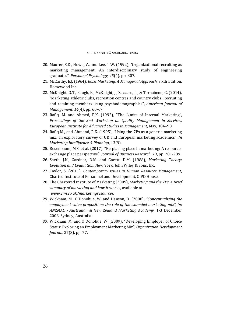- 20. Maurer, S.D., Howe, V., and Lee, T.W. (1992), "Organizational recruiting as marketing management: An interdisciplinary study of engineering graduates", *Personnel Psychology, 45*(4), pp. 807.
- 21. McCarthy, E.J. (1964). *Basic Marketing. A Managerial Approach*, Sixth Edition, Homewood Inc.
- 22. McKnight, O.T., Paugh, R., McKnight, J., Zuccaro, L., & Tornabene, G. (2014), "Marketing athletic clubs, recreation centres and country clubs: Recruiting and retaining members using psychodemographics", *American Journal of Management,* 14(4), pp. 60-67.
- 23. Rafiq, M. and Ahmed, P.K. (1992), "The Limits of Internal Marketing", *Proceedings of the 2nd Workshop on Quality Management in Services, European Institute for Advanced Studies in Management*, May, 184–98.
- 24. Rafiq M., and Ahmend, P.K. (1995), "Using the 7Ps as a generic marketing mix: an exploratory survey of UK and European marketing academics", *In Marketing Intelligence & Planning*, 13(9).
- 25. Rosenbaum, M.S. et al. (2017), "Re-placing place in marketing: A resourceexchange place perspective", *Journal of Business Research*, 79, pp. 281‐289.
- 26. Sheth, J.N., Gardner, D.M. and Garett, D.M. (1988), *Marketing Theory: Evolution and Evaluation*, New York: John Wiley & Sons, Inc.
- 27. Taylor, S. (2011), *Contemporary issues in Human Resource Management*, Charted Institute of Personnel and Development, CIPD House.
- 28. The Chartered Institute of Marketing (2009), *Marketing and the 7Ps. A Brief summary of marketing and how it* works, available at *www.cim.co.uk/marketingresources.*
- 29. Wickham, M., O'Donohue, W. and Hanson, D. (2008), "Conceptualising the *employment value proposition: the role of the extended marketing mix", in: ANZMAC ‐ Australian & New Zealand Marketing Academy*, 1‐3 December 2008, Sydney, Australia.
- 30. Wickham, M. and O'Donohue, W. (2009), "Developing Employer of Choice Status: Exploring an Employment Marketing Mix", *Organization Development Journal,* 27(3), pp. 77.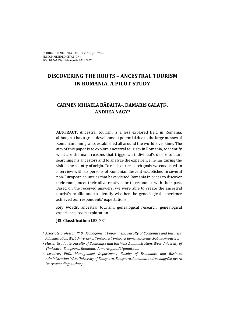# **DISCOVERING THE ROOTS – ANCESTRAL TOURISM IN ROMANIA. A PILOT STUDY**

# **CARMEN MIHAELA BĂBĂIȚĂ1, DAMARIS GALAȚI2, ANDREA NAGY3**

**ABSTRACT.** Ancestral tourism is a less explored field in Romania, although it has a great development potential due to the large masses of Romanian immigrants established all around the world, over time. The aim of this paper is to explore ancestral tourism in Romania, to identify what are the main reasons that trigger an individual's desire to start searching his ancestors and to analyze the experience he has during the visit in the country of origin. To reach our research goals, we conducted an interview with six persons of Romanian descent established in several non-European countries that have visited Romania in order to discover their roots, meet their alive relatives or to reconnect with their past. Based on the received answers, we were able to create the ancestral tourist's profile and to identify whether the genealogical experience achieved our respondents' expectations.

**Key** words: ancestral tourism, genealogical research, genealogical experience, roots exploration

**IEL Classification:** L83, Z31

 

*<sup>1</sup> Associate professor, PhD., Management Department, Faculty of Economics and Business Administration,WestUniversity ofTimișoara,Timișoara,Romania, carmen.babaita@e‐uvt.ro.*

*<sup>2</sup> Master Graduate, Faculty of Economics and Business Administration, West University of Timișoara, Timișoara, Romania, damaris.galati@gmail.com* 

*<sup>3</sup> Lecturer, PhD., Management Department, Faculty of Economics and Business Administration, WestUniversity of Timișoara, Timișoara, Romania, andrea.nagy@e‐uvt.ro (corresponding author)*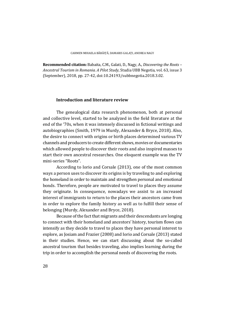**Recommended citation:** Babaita, C.M., Galati, D., Nagy, A., *Discovering the Roots* – *Ancestral Tourism in Romania. A Pilot Study*, Studia UBB Negotia, vol. 63, issue 3 (September), 2018, pp. 27-42, doi:10.24193/subbnegotia.2018.3.02.

#### **Introduction and literature review**

The genealogical data research phenomenon, both at personal and collective level, started to be analyzed in the field literature at the end of the '70s, when it was intensely discussed in fictional writings and autobiographies (Smith, 1979 in Murdy, Alexander & Bryce, 2018). Also, the desire to connect with origins or birth places determined various TV channels and producers to create different shows, movies or documentaries which allowed people to discover their roots and also inspired masses to start their own ancestral researches. One eloquent example was the TV mini-series "Roots".

According to Iorio and Corsale (2013), one of the most common ways a person uses to discover its origins is by traveling to and exploring the homeland in order to maintain and strengthen personal and emotional bonds. Therefore, people are motivated to travel to places they assume they originate. In consequence, nowadays we assist to an increased interest of immigrants to return to the places their ancestors came from in order to explore the family history as well as to fulfill their sense of belonging (Murdy, Alexander and Bryce, 2018).

Because of the fact that migrants and their descendants are longing to connect with their homeland and ancestors' history, tourism flows can intensify as they decide to travel to places they have personal interest to explore, as Josiam and Frazier (2008) and Iorio and Corsale (2013) stated in their studies. Hence, we can start discussing about the so-called ancestral tourism that besides traveling, also implies learning during the trip in order to accomplish the personal needs of discovering the roots.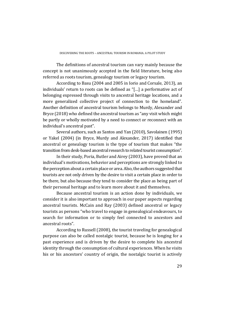The definitions of ancestral tourism can vary mainly because the concept is not unanimously accepted in the field literature, being also referred as roots tourism, genealogy tourism or legacy tourism.

According to Basu (2004 and 2005 in Iorio and Corsale, 2013), an individuals' return to roots can be defined as "[...] a performative act of belonging expressed through visits to ancestral heritage locations, and a more generalized collective project of connection to the homeland". Another definition of ancestral tourism belongs to Murdy, Alexander and Bryce (2018) who defined the ancestral tourism as "any visit which might be partly or wholly motivated by a need to connect or reconnect with an individual's ancestral past".

Several authors, such as Santos and Yan (2010), Savolainen (1995) or Yakel (2004) (in Bryce, Murdy and Alexander, 2017) identified that ancestral or genealogy tourism is the type of tourism that makes "the transition from desk-based ancestral research to related tourist consumption".

In their study, Poria, Butler and Airey (2003), have proved that an individual's motivations, behavior and perceptions are strongly linked to the perception about a certain place or area. Also, the authors suggested that tourists are not only driven by the desire to visit a certain place in order to be there, but also because they tend to consider the place as being part of their personal heritage and to learn more about it and themselves.

Because ancestral tourism is an action done by individuals, we consider it is also important to approach in our paper aspects regarding ancestral tourists. McCain and Ray (2003) defined ancestral or legacy tourists as persons "who travel to engage in genealogical endeavours, to search for information or to simply feel connected to ancestors and ancestral roots".

According to Russell (2008), the tourist traveling for genealogical purpose can also be called nostalgic tourist, because he is longing for a past experience and is driven by the desire to complete his ancestral identity through the consumption of cultural experiences. When he visits his or his ancestors' country of origin, the nostalgic tourist is actively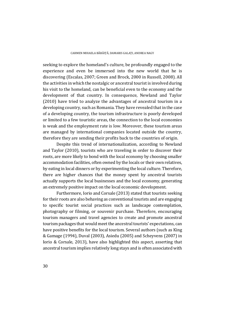seeking to explore the homeland's culture, be profoundly engaged to the experience and even be immersed into the new world that he is discovering (Escalas, 2007; Green and Brock, 2000 in Russell, 2008). All the activities in which the nostalgic or ancestral tourist is involved during his visit to the homeland, can be beneficial even to the economy and the development of that country. In consequence, Newland and Taylor  $(2010)$  have tried to analyze the advantages of ancestral tourism in a developing country, such as Romania. They have revealed that in the case of a developing country, the tourism infrastructure is poorly developed or limited to a few touristic areas, the connection to the local economies is weak and the employment rate is low. Moreover, these tourism areas are managed by international companies located outside the country, therefore they are sending their profits back to the countries of origin.

Despite this trend of internationalization, according to Newland and Taylor (2010), tourists who are traveling in order to discover their roots, are more likely to bond with the local economy by choosing smaller accommodation facilities, often owned by the locals or their own relatives, by eating in local dinners or by experimenting the local culture. Therefore, there are higher chances that the money spent by ancestral tourists actually supports the local businesses and the local economy, generating an extremely positive impact on the local economic development.

Furthermore, Iorio and Corsale (2013) stated that tourists seeking for their roots are also behaving as conventional tourists and are engaging to specific tourist social practices such as landscape contemplation, photography or filming, or souvenir purchase. Therefore, encouraging tourism managers and travel agencies to create and promote ancestral tourism packages that would meet the ancestral tourists' expectations, can have positive benefits for the local tourism. Several authors (such as King & Gamage (1994), Duval (2003), Asiedu (2005) and Scheyvens (2007) in Iorio & Corsale, 2013), have also highlighted this aspect, asserting that ancestral tourism implies relatively long stays and is often associated with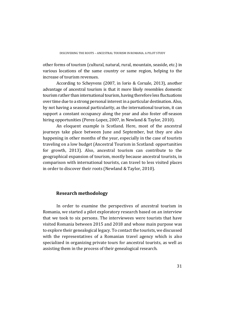other forms of tourism (cultural, natural, rural, mountain, seaside, etc.) in various locations of the same country or same region, helping to the increase of tourism revenues.

According to Scheyvens (2007, in Iorio & Corsale, 2013), another advantage of ancestral tourism is that it more likely resembles domestic tourism rather than international tourism, having therefore less fluctuations over time due to a strong personal interest in a particular destination. Also, by not having a seasonal particularity, as the international tourism, it can support a constant occupancy along the year and also foster off-season hiring opportunities (Perez-Lopez, 2007, in Newland & Taylor, 2010).

An eloquent example is Scotland. Here, most of the ancestral journeys take place between June and September, but they are also happening in other months of the year, especially in the case of tourists traveling on a low budget (Ancestral Tourism in Scotland: opportunities for growth, 2013). Also, ancestral tourism can contribute to the geographical expansion of tourism, mostly because ancestral tourists, in comparison with international tourists, can travel to less visited places in order to discover their roots (Newland & Taylor, 2010).

# **Research methodology**

In order to examine the perspectives of ancestral tourism in Romania, we started a pilot exploratory research based on an interview that we took to six persons. The interviewees were tourists that have visited Romania between 2015 and 2018 and whose main purpose was to explore their genealogical legacy. To contact the tourists, we discussed with the representatives of a Romanian travel agency which is also specialized in organizing private tours for ancestral tourists, as well as assisting them in the process of their genealogical research.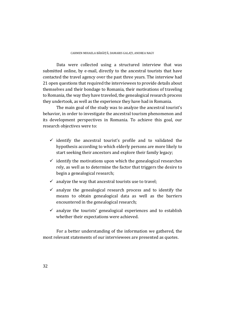Data were collected using a structured interview that was submitted online, by e-mail, directly to the ancestral tourists that have contacted the travel agency over the past three years. The interview had 21 open questions that required the interviewees to provide details about themselves and their bondage to Romania, their motivations of traveling to Romania, the way they have traveled, the genealogical research process they undertook, as well as the experience they have had in Romania.

The main goal of the study was to analyze the ancestral tourist's behavior, in order to investigate the ancestral tourism phenomenon and its development perspectives in Romania. To achieve this goal, our research objectives were to:

- $\checkmark$  identify the ancestral tourist's profile and to validated the hypothesis according to which elderly persons are more likely to start seeking their ancestors and explore their family legacy;
- $\checkmark$  identify the motivations upon which the genealogical researches rely, as well as to determine the factor that triggers the desire to begin a genealogical research;
- $\checkmark$  analyze the way that ancestral tourists use to travel;
- $\checkmark$  analyze the genealogical research process and to identify the means to obtain genealogical data as well as the barriers encountered in the genealogical research;
- $\checkmark$  analyze the tourists' genealogical experiences and to establish whether their expectations were achieved.

For a better understanding of the information we gathered, the most relevant statements of our interviewees are presented as quotes.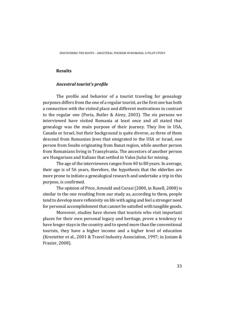# **Results**

## *Ancestral tourist's profile*

The profile and behavior of a tourist traveling for genealogy purposes differs from the one of a regular tourist, as the first one has both a connection with the visited place and different motivations in contrast to the regular one (Poria, Butler  $&$  Airey, 2003). The six persons we interviewed have visited Romania at least once and all stated that genealogy was the main purpose of their journey. They live in USA, Canada or Israel, but their background is quite diverse, as three of them descend from Romanian Jews that emigrated to the USA or Israel, one person from Swabs originating from Banat region, while another person from Romanians living in Transylvania. The ancestors of another person are Hungarians and Italians that settled in Valea Jiului for mining.

The age of the interviewees ranges from 40 to 80 years. In average, their age is of 56 years, therefore, the hypothesis that the elderlies are more prone to initiate a genealogical research and undertake a trip in this purpose, is confirmed.

The opinion of Price, Arnould and Curasi (2000, in Rusell, 2008) is similar to the one resulting from our study as, according to them, people tend to develop more reflexivity on life with aging and feel a stronger need for personal accomplishment that cannot be satisfied with tangible goods.

Moreover, studies have shown that tourists who visit important places for their own personal legacy and heritage, prove a tendency to have longer stays in the country and to spend more than the conventional tourists, they have a higher income and a higher level of education (Krestetter et al., 2001 & Travel Industry Association, 1997; in Josiam & Frazier, 2008).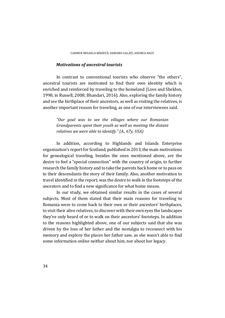#### *Motivations of ancestral tourists*

In contrast to conventional tourists who observe "the others", ancestral tourists are motivated to find their own identity which is enriched and reinforced by traveling to the homeland (Love and Sheldon, 1998, in Russell, 2008; Bhandari, 2016). Also, exploring the family history and see the birthplace of their ancestors, as well as visiting the relatives, is another important reason for traveling, as one of our interviewees said.

*"Our goal was to see the villages where our Romanian Grandparents spent their youth as well as meeting the distant relatives we were able to identify." (A., 67y, USA)*

In addition, according to Highlands and Islands Enterprise organization's report for Scotland, published in 2013, the main motivations for genealogical traveling, besides the ones mentioned above, are the desire to feel a "special connection" with the country of origin, to further research the family history and to take the parents back home or to pass on to their descendants the story of their family. Also, another motivation to travel identified in the report, was the desire to walk in the footsteps of the ancestors and to find a new significance for what home means.

In our study, we obtained similar results in the cases of several subjects. Most of them stated that their main reasons for traveling to Romania were to come back to their own or their ancestors' birthplaces, to visit their alive relatives, to discover with their own eyes the landscapes they've only heard of or to walk on their ancestors' footsteps. In addition to the reasons highlighted above, one of our subjects said that she was driven by the loss of her father and the nostalgia to reconnect with his memory and explore the places her father saw, as she wasn't able to find some information online neither about him, nor about her legacy.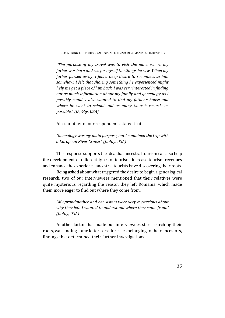DISCOVERING THE ROOTS – ANCESTRAL TOURISM IN ROMANIA. A PILOT STUDY

*"The purpose of my travel was to visit the place where my father was born and see for myself the things he saw. When my father passed away, I felt a deep desire to reconnect to him somehow. I felt that sharing something he experienced might help me get a piece of him back. I was very interested in finding out as much information about my family and genealogy as I possibly could. I also wanted to find my father's house and where he went to school and as many Church records as possible." (D., 45y, USA)*

Also, another of our respondents stated that

*"Genealogy was my main purpose, but I combined the trip with a European River Cruise." (J., 40y, USA)*

This response supports the idea that ancestral tourism can also help the development of different types of tourism, increase tourism revenues and enhance the experience ancestral tourists have discovering their roots.

Being asked about what triggered the desire to begin a genealogical research, two of our interviewees mentioned that their relatives were quite mysterious regarding the reason they left Romania, which made them more eager to find out where they come from.

*"My grandmother and her sisters were very mysterious about why they left. I wanted to understand where they came from." (J., 40y, USA)*

Another factor that made our interviewees start searching their roots, was finding some letters or addresses belonging to their ancestors, findings that determined their further investigations.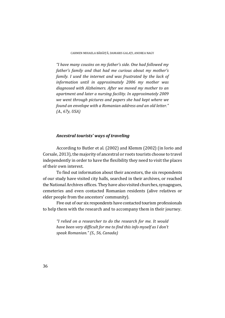*"I have many cousins on my father's side. One had followed my father's family and that had me curious about my mother's family. I used the internet and was frustrated by the lack of information until in approximately 2006 my mother was diagnosed with Alzheimers. After we moved my mother to an apartment and later a nursing facility. In approximately 2009 we went through pictures and papers she had kept where we found an envelope with a Romanian address and an old letter." (A., 67y, USA)*

#### *Ancestral tourists' ways of traveling*

According to Butler et al. (2002) and Klemm (2002) (in Iorio and Corsale, 2013), the majority of ancestral or roots tourists choose to travel independently in order to have the flexibility they need to visit the places of their own interest.

To find out information about their ancestors, the six respondents of our study have visited city halls, searched in their archives, or reached the National Archives offices. They have also visited churches, synagogues, cemeteries and even contacted Romanian residents (alive relatives or elder people from the ancestors' community).

Five out of our six respondents have contacted tourism professionals to help them with the research and to accompany them in their journey.

*"I relied on a researcher to do the research for me. It would have been very difficult for me to find this info myself as I don't speak Romanian." (S., 56, Canada)*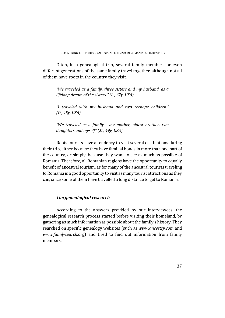Often, in a genealogical trip, several family members or even different generations of the same family travel together, although not all of them have roots in the country they visit.

*"We traveled as a family, three sisters and my husband, as a lifelong dream of the sisters." (A., 67y, USA)*

*"I traveled with my husband and two teenage children." (D., 45y, USA)*

*"We traveled as a family ‐ my mother, oldest brother, two daughters and myself" (M., 49y, USA)*

Roots tourists have a tendency to visit several destinations during their trip, either because they have familial bonds in more than one part of the country, or simply, because they want to see as much as possible of Romania. Therefore, all Romanian regions have the opportunity to equally benefit of ancestral tourism, as for many of the ancestral tourists traveling to Romania is a good opportunity to visit as many tourist attractions as they can, since some of them have travelled a long distance to get to Romania.

# *The genealogical research*

According to the answers provided by our interviewees, the genealogical research process started before visiting their homeland, by gathering as much information as possible about the family's history. They searched on specific genealogy websites (such as *www.ancestry.com* and *www.familysearch.org*) and tried to find out information from family members.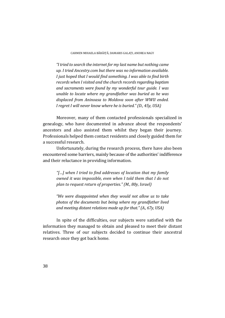*"I tried to search the internetfor my last name but nothing came up. I tried Ancestry.com but there was no information available. I just hoped that I would find something. I was able to find birth records when I visited and the church records regarding baptism and sacraments were found by my wonderful tour guide. I was unable to locate where my grandfather was buried as he was displaced from Aninoasa to Moldova soon after WWII ended. I regret I will never know where he is buried." (D., 45y, USA)*

Moreover, many of them contacted professionals specialized in genealogy, who have documented in advance about the respondents' ancestors and also assisted them whilst they began their journey. Professionals helped them contact residents and closely guided them for a successful research.

Unfortunately, during the research process, there have also been encountered some barriers, mainly because of the authorities' indifference and their reluctance in providing information.

*"[…] when I tried to find addresses of location that my family owned it was impossible, even when I told them that I do not plan to request return of properties." (M., 80y, Israel)*

*"We were disappointed when they would not allow us to take photos of the documents but being where my grandfather lived and meeting distant relations made up for that."(A., 67y, USA)*

In spite of the difficulties, our subjects were satisfied with the information they managed to obtain and pleased to meet their distant relatives. Three of our subjects decided to continue their ancestral research once they got back home.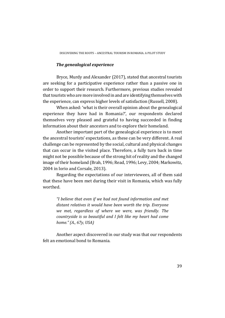#### *The genealogical experience*

Bryce, Murdy and Alexander (2017), stated that ancestral tourists are seeking for a participative experience rather than a passive one in order to support their research. Furthermore, previous studies revealed that tourists who are more involved in and are identifying themselves with the experience, can express higher levels of satisfaction (Russell, 2008).

When asked: 'what is their overall opinion about the genealogical experience they have had in Romania?', our respondents declared themselves very pleased and grateful to having succeeded in finding information about their ancestors and to explore their homeland.

Another important part of the genealogical experience is to meet the ancestral tourists' expectations, as these can be very different. A real challenge can be represented by the social, cultural and physical changes that can occur in the visited place. Therefore, a fully turn back in time might not be possible because of the strong hit of reality and the changed image of their homeland (Brah, 1996; Read, 1996; Levy, 2004; Markowitz, 2004 in Iorio and Corsale, 2013).

Regarding the expectations of our interviewees, all of them said that these have been met during their visit in Romania, which was fully worthed. 

*"I believe that even if we had not found information and met distant relatives it would have been worth the trip. Everyone we met, regardless of where we were, was friendly. The countryside is so beautiful and I felt like my heart had come home." (A., 67y, USA)*

Another aspect discovered in our study was that our respondents felt an emotional bond to Romania.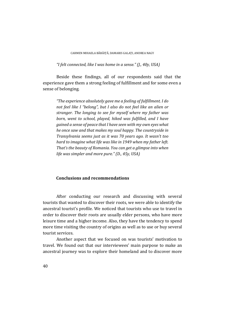CARMEN MIHAELA BĂBĂITĂ, DAMARIS GALATI, ANDREA NAGY

*"I felt connected, like I was home in a sense." (J., 40y, USA)*

Beside these findings, all of our respondents said that the experience gave them a strong feeling of fulfillment and for some even a sense of belonging.

*"The experience absolutely gave me a feeling of fulfillment. I do not feel like I "belong", but I also do not feel like an alien or stranger. The longing to see for myself where my father was born, went to school, played, hiked was fulfilled, and I have gained a sense of peace that I have seen with my own eyes what he once saw and that makes my soul happy. The countryside in Transylvania seems just as it was 70 years ago. It wasn't too hard to imagine what life was like in 1949 when my father left. That's the beauty of Romania. You can get a glimpse into when life was simpler and more pure." (D., 45y, USA)*

#### **Conclusions and recommendations**

After conducting our research and discussing with several tourists that wanted to discover their roots, we were able to identify the ancestral tourist's profile. We noticed that tourists who use to travel in order to discover their roots are usually elder persons, who have more leisure time and a higher income. Also, they have the tendency to spend more time visiting the country of origins as well as to use or buy several tourist services.

Another aspect that we focused on was tourists' motivation to travel. We found out that our interviewees' main purpose to make an ancestral journey was to explore their homeland and to discover more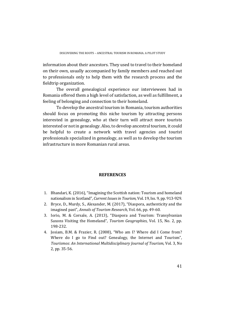information about their ancestors. They used to travel to their homeland on their own, usually accompanied by family members and reached out to professionals only to help them with the research process and the fieldtrip organization.

The overall genealogical experience our interviewees had in Romania offered them a high level of satisfaction, as well as fulfillment, a feeling of belonging and connection to their homeland.

To develop the ancestral tourism in Romania, tourism authorities should focus on promoting this niche tourism by attracting persons interested in genealogy, who at their turn will attract more tourists interested or not in genealogy. Also, to develop ancestral tourism, it could be helpful to create a network with travel agencies and tourist professionals specialized in genealogy, as well as to develop the tourism infrastructure in more Romanian rural areas.

# **REFERENCES**

- 1. Bhandari, K. (2016), "Imagining the Scottish nation: Tourism and homeland nationalism in Scotland", *Current Issues in Tourism*, Vol. 19, Iss. 9, pp. 913-929.
- 2. Bryce, D., Murdy, S., Alexander, M. (2017), "Diaspora, authenticity and the imagined past", *Annals of Tourism Research*, Vol. 66, pp. 49-60.
- 3. Iorio, M. & Corsale, A. (2013), "Diaspora and Tourism: Transylvanian Saxons Visiting the Homeland", *Tourism Geographies*, Vol. 15, No. 2, pp. 198‐232.
- 4. Josiam, B.M. & Frazier, R. (2008), "Who am I? Where did I Come from? Where do I go to Find out? Genealogy, the Internet and Tourism", *Tourismos: An International Multidisciplinary Journal of Tourism*, Vol. 3, No 2, pp. 35-56.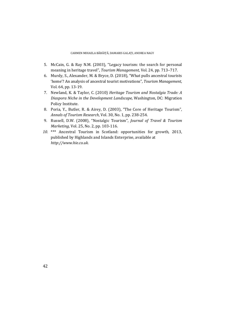- 5. McCain, G. & Ray N.M. (2003), "Legacy tourism: the search for personal meaning in heritage travel", *Tourism Management*, Vol. 24, pp. 713–717.
- 6. Murdy, S., Alexander, M. & Bryce, D. (2018), "What pulls ancestral tourists 'home'? An analysis of ancestral tourist motivations", *Tourism Management*, Vol. 64, pp. 13-19.
- 7. Newland, K. & Taylor, C. (2010) *Heritage Tourism and Nostalgia Trade: A Diaspora Niche in the Development Landscape,* Washington, DC: Migration Policy Institute.
- 8. Poria, Y., Butler, R. & Airey, D. (2003), "The Core of Heritage Tourism", *Annals of Tourism Research*, Vol. 30, No. 1, pp. 238‐254.
- 9. Russell, D.W. (2008), "Nostalgic Tourism", *Journal of Travel & Tourism Marketing*, Vol. 25, No. 2, pp. 103-116.
- 10. \*\*\* Ancestral Tourism in Scotland: opportunities for growth, 2013, published by Highlands and Islands Enterprise, available at *http://www.hie.co.uk.*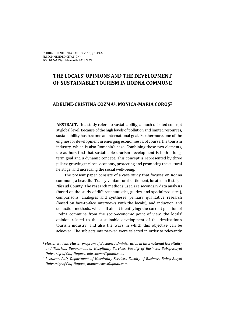# **THE LOCALS' OPINIONS AND THE DEVELOPMENT OF SUSTAINABLE TOURISM IN RODNA COMMUNE**

# **ADELINE‐CRISTINA COZMA1, MONICA‐MARIA COROŞ<sup>2</sup>**

**ABSTRACT.** This study refers to sustainability, a much debated concept at global level. Because of the high levels of pollution and limited resources, sustainability has become an international goal. Furthermore, one of the engines for development in emerging economies is, of course, the tourism industry, which is also Romania's case. Combining these two elements, the authors find that sustainable tourism development is both a longterm goal and a dynamic concept. This concept is represented by three pillars: growing the local economy, protecting and promoting the cultural heritage, and increasing the social well-being.

The present paper consists of a case study that focuses on Rodna commune, a beautiful Transylvanian rural settlement, located in Bistrița-Năsăud County. The research methods used are secondary data analysis (based on the study of different statistics, guides, and specialized sites), comparisons, analogies and syntheses, primary qualitative research (based on face-to-face interviews with the locals), and induction and deduction methods, which all aim at identifying: the current position of Rodna commune from the socio-economic point of view, the locals' opinion related to the sustainable development of the destination's tourism industry, and also the ways in which this objective can be achieved. The subjects interviewed were selected in order to relevantly

*<sup>1</sup> Master student, Master program of Business Administration in International Hospitality and Tourism, Department of Hospitality Services, Faculty of Business, Babeș‐Bolyai University of Cluj‐Napoca, ade.cozma@gmail.com.*

*<sup>2</sup> Lecturer, PhD, Department of Hospitality Services, Faculty of Business, Babeș‐Bolyai University of Cluj‐Napoca, monica.coros@gmail.com.*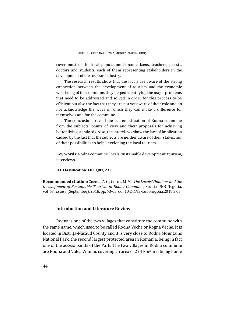cover most of the local population: honor citizens, teachers, priests, doctors and students, each of them representing stakeholders in the development of the tourism industry.

The research results show that the locals are aware of the strong connection between the development of tourism and the economic well-being of the commune, they helped identifying the major problems that need to be addressed and solved in order for this process to be efficient but also the fact that they are not yet aware of their role and do not acknowledge the ways in which they can make a difference for themselves and for the commune.

The conclusions reveal the current situation of Rodna commune from the subjects' points of view and their proposals for achieving better living standards. Also, the interviews show the lack of implication caused by the fact that the subjects are neither aware of their stakes, nor of their possibilities to help developing the local tourism.

**Key words:** Rodna commune, locals, sustainable development, tourism, interviews. 

**JEL Classification: L83, Q01, Z32.**

**Recommended citation:** Cozma, A‐C., Coros, M‐M., *The Locals' Opinions and the Development of Sustainable Tourism in Rodna Commune*, Studia UBB Negotia, vol. 63, issue 3 (September), 2018, pp. 43-65, doi:10.24193/subbnegotia.2018.3.03.

# **Introduction and Literature Review**

Rodna is one of the two villages that constitute the commune with the same name, which used to be called Rodna Veche or Rogna Veche. It is located in Bistrița-Năsăud County and it is very close to Rodna Mountains National Park, the second largest protected area in Romania, being in fact one of the access points of the Park. The two villages in Rodna commune are Rodna and Valea Vinului, covering an area of 224 km<sup>2</sup> and being home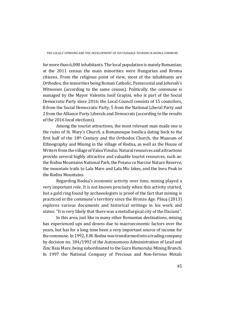for more than  $6.000$  inhabitants. The local population is mainly Romanian: at the 2011 census the main minorities were Hungarian and Rroma citizens. From the religious point of view, most of the inhabitants are Orthodox, the minorities being Roman Catholic, Pentecostal and Jehovah's Witnesses (according to the same census). Politically, the commune is managed by the Mayor Valentin Iosif Grapini, who is part of the Social Democratic Party since 2016; the Local Council consists of 15 councilors, 8 from the Social Democratic Party, 5 from the National Liberal Party and 2 from the Alliance Party Liberals and Democrats (according to the results of the 2016 local elections).

Among the tourist attractions, the most relevant man-made one is the ruins of St. Mary's Church, a Romanesque basilica dating back to the first half of the  $18<sup>th</sup>$  Century and the Orthodox Church, the Museum of Ethnography and Mining in the village of Rodna, as well as the House of Writers from the village of Valea Vinului. Natural resources and attractions provide several highly attractive and valuable tourist resources, such as: the Rodna Mountains National Park, the Poiana cu Narcise Nature Reserve, the mountain trails to Lala Mare and Lala Mic lakes, and the Ineu Peak in the Rodna Mountains.

Regarding Rodna's economic activity over time, mining played a very important role. It is not known precisely when this activity started, but a gold ring found by archaeologists is proof of the fact that mining is practiced in the commune's territory since the Bronze Age. Păius (2013) explores various documents and historical writings in his work and states: "It is very likely that there was a metallurgical city of the Dacians".

In this area, just like in many other Romanian destinations, mining has experienced ups and downs due to macroeconomic factors over the years, but has for a long time been a very important source of income for the commune. In 1992, E.M. Rodna was transformed into a trading company by decision no. 184/1992 of the Autonomous Administration of Lead and Zinc Baia Mare, being subordinated to the Gura Humorului Mining Branch. In 1997 the National Company of Precious and Non-ferrous Metals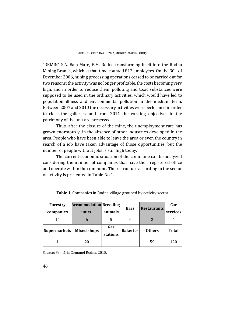"REMIN" S.A. Baia Mare, E.M. Rodna transforming itself into the Rodna Mining Branch, which at that time counted 812 employees. On the  $30<sup>th</sup>$  of December 2006, mining processing operations ceased to be carried out for two reasons: the activity was no longer profitable, the costs becoming very high, and in order to reduce them, polluting and toxic substances were supposed to be used in the ordinary activities, which would have led to population illness and environmental pollution in the medium term. Between 2007 and 2010 the necessary activities were performed in order to close the galleries, and from 2011 the existing objectives in the patrimony of the unit are preserved.

Thus, after the closure of the mine, the unemployment rate has grown enormously, in the absence of other industries developed in the area. People who have been able to leave the area or even the country in search of a job have taken advantage of those opportunities, but the number of people without jobs is still high today.

The current economic situation of the commune can be analyzed considering the number of companies that have their registered office and operate within the commune. Their structure according to the sector of activity is presented in Table No 1.

| Forestry            | <b>Accommodation Breeding</b> |          |                 |                    | Car          |
|---------------------|-------------------------------|----------|-----------------|--------------------|--------------|
| companies           | units                         | animals  | <b>Bars</b>     | <b>Restaurants</b> | services     |
| 14                  | n                             |          |                 |                    |              |
| <b>Supermarkets</b> | <b>Mixed shops</b>            | Gas      | <b>Bakeries</b> | <b>Others</b>      | <b>Total</b> |
|                     |                               | stations |                 |                    |              |
|                     | 20                            |          |                 | 59                 | 120          |

**Table 1.** Companies in Rodna village grouped by activity sector

Source: Primăria Comunei Rodna, 2018.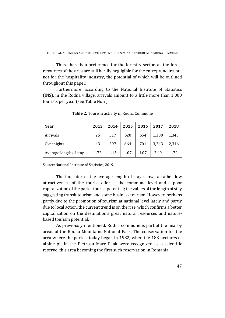Thus, there is a preference for the forestry sector, as the forest resources of the area are still hardly negligible for the entrepreneurs, but not for the hospitality industry, the potential of which will be outlined throughout this paper.

Furthermore, according to the National Institute of Statistics (INS), in the Rodna village, arrivals amount to a little more than  $1,000$ tourists per year (see Table No 2).

| Year                   | 2013 | 2014 | 2015 | 2016 | 2017  | 2018  |
|------------------------|------|------|------|------|-------|-------|
| Arrivals               | 25   | 517  | 620  | 654  | 1,300 | 1,343 |
| Overnights             | 43   | 597  | 664  | 701  | 3,243 | 2,316 |
| Average length of stay | 1.72 | 1.15 | 1.07 | 1.07 | 2.49  | 1.72  |

**Table 2.** Tourism activity in Rodna Commune

Source: National Institute of Statistics, 2019.

The indicator of the average length of stay shows a rather low attractiveness of the tourist offer at the commune level and a poor capitalization of the park's tourist potential; the values of the length of stay suggesting transit tourism and some business tourism. However, perhaps partly due to the promotion of tourism at national level lately and partly due to local action, the current trend is on the rise, which confirms a better capitalization on the destination's great natural resources and naturebased tourism potential.

As previously mentioned, Rodna commune is part of the nearby areas of the Rodna Mountains National Park. The conservation for the area where the park is today began in 1932, when the 183 hectares of alpine pit in the Pietrosu Mare Peak were recognized as a scientific reserve, this area becoming the first such reservation in Romania.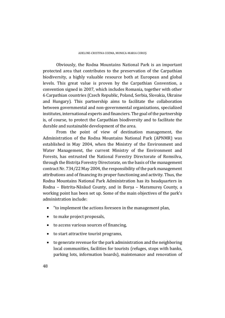Obviously, the Rodna Mountains National Park is an important protected area that contributes to the preservation of the Carpathian biodiversity, a highly valuable resource both at European and global levels. This great value is proven by the Carpathian Convention, a convention signed in 2007, which includes Romania, together with other 6 Carpathian countries (Czech Republic, Poland, Serbia, Slovakia, Ukraine and Hungary). This partnership aims to facilitate the collaboration between governmental and non-governmental organizations, specialized institutes, international experts and financiers. The goal of the partnership is, of course, to protect the Carpathian biodiversity and to facilitate the durable and sustainable development of the area.

From the point of view of destination management, the Administration of the Rodna Mountains National Park (APNMR) was established in May 2004, when the Ministry of the Environment and Water Management, the current Ministry of the Environment and Forests, has entrusted the National Forestry Directorate of Romsilva, through the Bistrita Forestry Directorate, on the basis of the management contract Nr. 734/22 May 2004, the responsibility of the park management attributions and of financing its proper functioning and activity. Thus, the Rodna Mountains National Park Administration has its headquarters in Rodna – Bistrita-Năsăud County, and in Borsa – Maramures County, a working point has been set up. Some of the main objectives of the park's administration include:

- "to implement the actions foreseen in the management plan,
- $\bullet$  to make project proposals,
- to access various sources of financing,
- $\bullet$  to start attractive tourist programs,
- $\bullet$  to generate revenue for the park administration and the neighboring local communities, facilities for tourists (refuges, stops with banks, parking lots, information boards), maintenance and renovation of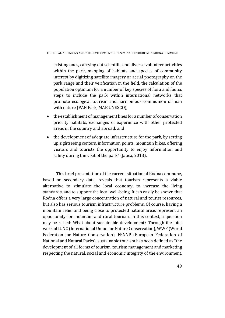existing ones, carrying out scientific and diverse volunteer activities within the park, mapping of habitats and species of community interest by digitizing satellite imagery or aerial photography on the park range and their verification in the field, the calculation of the population optimum for a number of key species of flora and fauna, steps to include the park within international networks that promote ecological tourism and harmonious communion of man with nature (PAN Park, MAB UNESCO),

- $\bullet$  the establishment of management lines for a number of conservation priority habitats, exchanges of experience with other protected areas in the country and abroad, and
- $\bullet$  the development of adequate infrastructure for the park, by setting up sightseeing centers, information points, mountain hikes, offering visitors and tourists the opportunity to enjoy information and safety during the visit of the park" (Jauca, 2013).

This brief presentation of the current situation of Rodna commune, based on secondary data, reveals that tourism represents a viable alternative to stimulate the local economy, to increase the living standards, and to support the local well-being. It can easily be shown that Rodna offers a very large concentration of natural and tourist resources, but also has serious tourism infrastructure problems. Of course, having a mountain relief and being close to protected natural areas represent an opportunity for mountain and rural tourism. In this context, a question may be raised: What about sustainable development? Through the joint work of IUNC (International Union for Nature Conservation), WWF (World Federation for Nature Conservation), EFNNP (European Federation of National and Natural Parks), sustainable tourism has been defined as "the development of all forms of tourism, tourism management and marketing respecting the natural, social and economic integrity of the environment,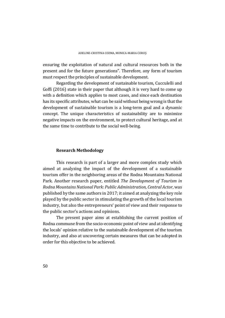ensuring the exploitation of natural and cultural resources both in the present and for the future generations". Therefore, any form of tourism must respect the principles of sustainable development.

Regarding the development of sustainable tourism, Cucculelli and Goffi  $(2016)$  state in their paper that although it is very hard to come up with a definition which applies to most cases, and since each destination has its specific attributes, what can be said without being wrong is that the development of sustainable tourism is a long-term goal and a dynamic concept. The unique characteristics of sustainability are to minimize negative impacts on the environment, to protect cultural heritage, and at the same time to contribute to the social well-being.

#### **Research Methodology**

This research is part of a larger and more complex study which aimed at analyzing the impact of the development of a sustainable tourism offer in the neighboring areas of the Rodna Mountains National Park. Another research paper, entitled *The Development of Tourism in Rodna Mountains National Park: Public Administration, Central Actor*, was published by the same authors in 2017; it aimed at analyzing the key role played by the public sector in stimulating the growth of the local tourism industry, but also the entrepreneurs' point of view and their response to the public sector's actions and opinions.

The present paper aims at establishing the current position of Rodna commune from the socio-economic point of view and at identifying the locals' opinion relative to the sustainable development of the tourism industry, and also at uncovering certain measures that can be adopted in order for this objective to be achieved.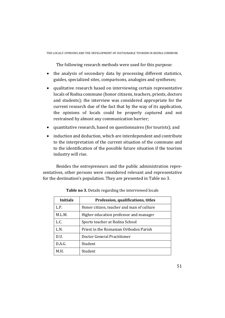The following research methods were used for this purpose:

- the analysis of secondary data by processing different statistics, guides, specialized sites, comparisons, analogies and syntheses;
- qualitative research based on interviewing certain representative locals of Rodna commune (honor citizens, teachers, priests, doctors and students); the interview was considered appropriate for the current research due of the fact that by the way of its application, the opinions of locals could be properly captured and not restrained by almost any communication barrier;
- $\bullet$  quantitative research, based on questionnaires (for tourists); and
- induction and deduction, which are interdependent and contribute to the interpretation of the current situation of the commune and to the identification of the possible future situation if the tourism industry will rise.

Besides the entrepreneurs and the public administration representatives, other persons were considered relevant and representative for the destination's population. They are presented in Table no 3.

| <b>Initials</b> | Profession, qualifications, titles        |  |
|-----------------|-------------------------------------------|--|
| L.P.            | Honor citizen, teacher and man of culture |  |
| M.L.M.          | Higher education professor and manager    |  |
| L.C.            | Sports teacher at Rodna School            |  |
| L.N.            | Priest in the Romanian Orthodox Parish    |  |
| D.U.            | Doctor General Practitioner               |  |
| D.A.G.          | Student                                   |  |
| M.H.            | Student                                   |  |

**Table no** 3. Details regarding the interviewed locals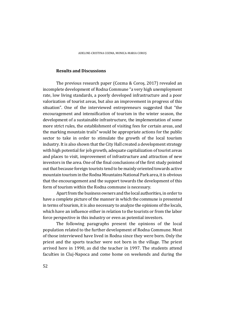# **Results and Discussions**

The previous research paper (Cozma & Coros, 2017) revealed an incomplete development of Rodna Commune "a very high unemployment rate, low living standards, a poorly developed infrastructure and a poor valorization of tourist areas, but also an improvement in progress of this situation". One of the interviewed entrepreneurs suggested that "the encouragement and intensification of tourism in the winter season, the development of a sustainable infrastructure, the implementation of some more strict rules, the establishment of visiting fees for certain areas, and the marking mountain trails" would be appropriate actions for the public sector to take in order to stimulate the growth of the local tourism industry. It is also shown that the City Hall created a development strategy with high potential for job growth, adequate capitalization of tourist areas and places to visit, improvement of infrastructure and attraction of new investors in the area. One of the final conclusions of the first study pointed out that because foreign tourists tend to be mainly oriented towards active mountain tourism in the Rodna Mountains National Park area, it is obvious that the encouragement and the support towards the development of this form of tourism within the Rodna commune is necessary.

Apart from the business owners and the local authorities, in order to have a complete picture of the manner in which the commune is presented in terms of tourism, it is also necessary to analyze the opinions of the locals, which have an influence either in relation to the tourists or from the labor force perspective in this industry or even as potential investors.

The following paragraphs present the opinions of the local population related to the further development of Rodna Commune. Most of those interviewed have lived in Rodna since they were born. Only the priest and the sports teacher were not born in the village. The priest arrived here in 1990, as did the teacher in 1997. The students attend faculties in Cluj-Napoca and come home on weekends and during the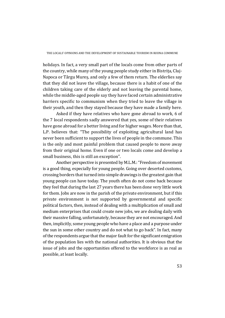holidays. In fact, a very small part of the locals come from other parts of the country, while many of the young people study either in Bistrița, Cluj-Napoca or Târgu Mures, and only a few of them return. The elderlies say that they did not leave the village, because there is a habit of one of the children taking care of the elderly and not leaving the parental home, while the middle-aged people say they have faced certain administrative barriers specific to communism when they tried to leave the village in their youth, and then they stayed because they have made a family here.

Asked if they have relatives who have gone abroad to work, 6 of the 7 local respondents sadly answered that yes, some of their relatives have gone abroad for a better living and for higher wages. More than that, L.P. believes that: "The possibility of exploiting agricultural land has never been sufficient to support the lives of people in the commune. This is the only and most painful problem that caused people to move away from their original home. Even if one or two locals come and develop a small business, this is still an exception".

Another perspective is presented by M.L.M.: "Freedom of movement is a good thing, especially for young people. Going over deserted customs, crossing borders that turned into simple drawings is the greatest gain that young people can have today. The youth often do not come back because they feel that during the last 27 years there has been done very little work for them. Jobs are now in the parish of the private environment, but if this private environment is not supported by governmental and specific political factors, then, instead of dealing with a multiplication of small and medium enterprises that could create new jobs, we are dealing daily with their massive falling, unfortunately, because they are not encouraged. And then, implicitly, some young people who have a place and a purpose under the sun in some other country and do not what to go back". In fact, many of the respondents argue that the major fault for the significant emigration of the population lies with the national authorities. It is obvious that the issue of jobs and the opportunities offered to the workforce is as real as possible, at least locally.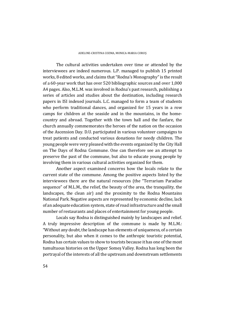The cultural activities undertaken over time or attended by the interviewees are indeed numerous. L.P. managed to publish 15 printed works, 8 edited works, and claims that "Rodna's Monography" is the result of a 60-year work that has over 520 bibliographic sources and over 1,000 A4 pages. Also, M.L.M. was involved in Rodna's past research, publishing a series of articles and studies about the destination, including research papers in ISI indexed journals. L.C. managed to form a team of students who perform traditional dances, and organized for 15 years in a row camps for children at the seaside and in the mountains, in the homecountry and abroad. Together with the town hall and the fanfare, the church annually commemorates the heroes of the nation on the occasion of the Ascension Day. D.U. participated in various volunteer campaigns to treat patients and conducted various donations for needy children. The young people were very pleased with the events organized by the City Hall on The Days of Rodna Commune. One can therefore see an attempt to preserve the past of the commune, but also to educate young people by involving them in various cultural activities organized for them.

Another aspect examined concerns how the locals relate to the current state of the commune. Among the positive aspects listed by the interviewees there are the natural resources (the "Terrarium Paradise sequence" of M.L.M., the relief, the beauty of the area, the tranquility, the landscapes, the clean air) and the proximity to the Rodna Mountains National Park. Negative aspects are represented by economic decline, lack of an adequate education system, state of road infrastructure and the small number of restaurants and places of entertainment for young people.

Locals say Rodna is distinguished mainly by landscapes and relief. A truly impressive description of the commune is made by M.L.M.: "Without any doubt, the landscape has elements of uniqueness, of a certain personality, but also when it comes to the anthropic touristic potential, Rodna has certain values to show to tourists because it has one of the most tumultuous histories on the Upper Someş Valley. Rodna has long been the portrayal of the interests of all the upstream and downstream settlements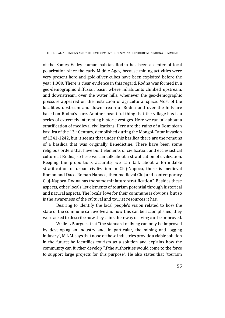of the Somes Valley human habitat. Rodna has been a center of local polarization since the early Middle Ages, because mining activities were very present here and gold-silver cubes have been exploited before the year 1,000. There is clear evidence in this regard. Rodna was formed in a geo-demographic diffusion basin where inhabitants climbed upstream, and downstream, over the water hills, whenever the geo-demographic pressure appeared on the restriction of agricultural space. Most of the localities upstream and downstream of Rodna and over the hills are based on Rodna's core. Another beautiful thing that the village has is a series of extremely interesting historic vestiges. Here we can talk about a stratification of medieval civilizations. Here are the ruins of a Dominican basilica of the 13<sup>th</sup> Century, demolished during the Mongol-Tatar invasion of 1241-1242, but it seems that under this basilica there are the remains of a basilica that was originally Benedictine. There have been some religious orders that have built elements of civilization and ecclesiastical culture at Rodna, so here we can talk about a stratification of civilization. Keeping the proportions accurate, we can talk about a formidable stratification of urban civilization in Clui-Napoca, there is medieval Roman and Daco-Roman Napoca, then medieval Cluj and contemporary Clui-Napoca. Rodna has the same miniature stratification". Besides these aspects, other locals list elements of tourism potential through historical and natural aspects. The locals' love for their commune is obvious, but so is the awareness of the cultural and tourist resources it has.

Desiring to identify the local people's vision related to how the state of the commune can evolve and how this can be accomplished, they were asked to describe how they think their way of living can be improved.

While L.P. argues that "the standard of living can only be improved by developing an industry and, in particular, the mining and logging industry", M.L.M. says that none of these industries provide a viable solution in the future; he identifies tourism as a solution and explains how the community can further develop "if the authorities would come to the force to support large projects for this purpose". He also states that "tourism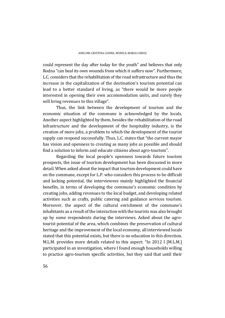could represent the day after today for the youth" and believes that only Rodna "can heal its own wounds from which it suffers now". Furthermore, L.C. considers that the rehabilitation of the road infrastructure and thus the increase in the capitalization of the destination's tourism potential can lead to a better standard of living, as "there would be more people interested in opening their own accommodation units, and surely they will bring revenues to this village".

Thus, the link between the development of tourism and the economic situation of the commune is acknowledged by the locals. Another aspect highlighted by them, besides the rehabilitation of the road infrastructure and the development of the hospitality industry, is the creation of more jobs, a problem to which the development of the tourist supply can respond successfully. Thus, L.C. states that "the current mayor has vision and openness to creating as many jobs as possible and should find a solution to inform and educate citizens about agro-tourism".

Regarding the local people's openness towards future tourism prospects, the issue of tourism development has been discussed in more detail. When asked about the impact that tourism development could have on the commune, except for L.P. who considers this process to be difficult and lacking potential, the interviewees mainly highlighted the financial benefits, in terms of developing the commune's economic condition by creating jobs, adding revenues to the local budget, and developing related activities such as crafts, public catering and guidance services tourism. Moreover, the aspect of the cultural enrichment of the commune's inhabitants as a result of the interaction with the tourists was also brought up by some respondents during the interviews. Asked about the agrotourist potential of the area, which combines the preservation of cultural heritage and the improvement of the local economy, all interviewed locals stated that this potential exists, but there is no education in this direction. M.L.M. provides more details related to this aspect: "In 2012 I [M.L.M.] participated in an investigation, where I found enough households willing to practice agro-tourism specific activities, but they said that until their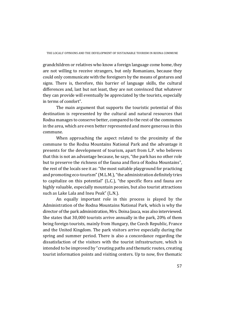grandchildren or relatives who know a foreign language come home, they are not willing to receive strangers, but only Romanians, because they could only communicate with the foreigners by the means of gestures and signs. There is, therefore, this barrier of language skills, the cultural differences and, last but not least, they are not convinced that whatever they can provide will eventually be appreciated by the tourists, especially in terms of comfort".

The main argument that supports the touristic potential of this destination is represented by the cultural and natural resources that Rodna manages to conserve better, compared to the rest of the communes in the area, which are even better represented and more generous in this commune. 

When approaching the aspect related to the proximity of the commune to the Rodna Mountains National Park and the advantage it presents for the development of tourism, apart from L.P. who believes that this is not an advantage because, he says, "the park has no other role but to preserve the richness of the fauna and flora of Rodna Mountains", the rest of the locals see it as: "the most suitable playground for practicing and promoting eco-tourism" (M.L.M.), "the administration definitely tries to capitalize on this potential" (L.C.), "the specific flora and fauna are highly valuable, especially mountain peonies, but also tourist attractions such as Lake Lala and Ineu Peak" (L.N.).

An equally important role in this process is played by the Administration of the Rodna Mountains National Park, which is why the director of the park administration, Mrs. Doina Jauca, was also interviewed. She states that 30,000 tourists arrive annually in the park, 20% of them being foreign tourists, mainly from Hungary, the Czech Republic, France and the United Kingdom. The park visitors arrive especially during the spring and summer period. There is also a concordance regarding the dissatisfaction of the visitors with the tourist infrastructure, which is intended to be improved by "creating paths and thematic routes, creating tourist information points and visiting centers. Up to now, five thematic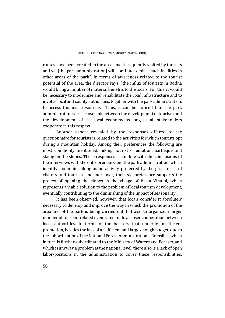routes have been created in the areas most frequently visited by tourists and we [the park administration] will continue to place such facilities in other areas of the park". In terms of awareness related to the tourist potential of the area, the director says: "the influx of tourists in Rodna would bring a number of material benefits to the locals. For this, it would be necessary to modernize and rehabilitate the road infrastructure and to involve local and county authorities, together with the park administration, to access financial resources". Thus, it can be noticed that the park administration sees a close link between the development of tourism and the development of the local economy as long as all stakeholders cooperate in this respect.

Another aspect revealed by the responses offered to the questionnaire for tourists is related to the activities for which tourists opt during a mountain holiday. Among their preferences the following are most commonly mentioned: hiking, tourist orientation, barbeque and skiing on the slopes. These responses are in line with the conclusions of the interviews with the entrepreneurs and the park administration, which identify mountain hiking as an activity preferred by the great mass of visitors and tourists, and moreover, their ski preference supports the project of opening the slopes in the village of Valea Vinului, which represents a viable solution to the problem of local tourism development, eventually contributing to the diminishing of the impact of seasonality.

It has been observed, however, that locals consider it absolutely necessary to develop and improve the way in which the promotion of the area and of the park is being carried out, but also to organize a larger number of tourism-related events and build a closer cooperation between local authorities. In terms of the barriers that underlie insufficient promotion, besides the lack of an efficient and large enough budget, due to the subordination of the National Forest Administration – Romsilva, which in turn is further subordinated to the Ministry of Waters and Forests, and which is anyway a problem at the national level, there also is a lack of open labor-positions in the administration to cover these responsibilities;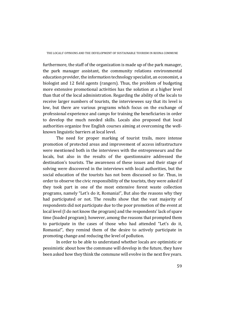furthermore, the staff of the organization is made up of the park manager. the park manager assistant, the community relations environmental education provider, the information technology specialist, an economist, a biologist and 12 field agents (rangers). Thus, the problem of budgeting more extensive promotional activities has the solution at a higher level than that of the local administration. Regarding the ability of the locals to receive larger numbers of tourists, the interviewees say that its level is low, but there are various programs which focus on the exchange of professional experience and camps for training the beneficiaries in order to develop the much needed skills. Locals also proposed that local authorities organize free English courses aiming at overcoming the wellknown linguistic barriers at local level.

The need for proper marking of tourist trails, more intense promotion of protected areas and improvement of access infrastructure were mentioned both in the interviews with the entrepreneurs and the locals, but also in the results of the questionnaire addressed the destination's tourists. The awareness of these issues and their stage of solving were discovered in the interviews with local authorities, but the social education of the tourists has not been discussed so far. Thus, in order to observe the civic responsibility of the tourists, they were asked if they took part in one of the most extensive forest waste collection programs, namely "Let's do it, Romania!", But also the reasons why they had participated or not. The results show that the vast majority of respondents did not participate due to the poor promotion of the event at local level (I do not know the program) and the respondents' lack of spare time (loaded program); however, among the reasons that prompted them to participate in the cases of those who had attended "Let's do it, Romania!", they remind them of the desire to actively participate in promoting change and reducing the level of pollution.

In order to be able to understand whether locals are optimistic or pessimistic about how the commune will develop in the future, they have been asked how they think the commune will evolve in the next five years.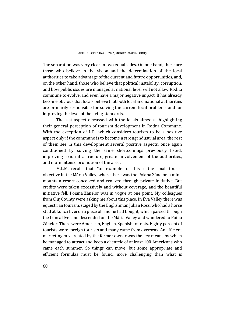The separation was very clear in two equal sides. On one hand, there are those who believe in the vision and the determination of the local authorities to take advantage of the current and future opportunities, and, on the other hand, those who believe that political instability, corruption, and how public issues are managed at national level will not allow Rodna commune to evolve, and even have a major negative impact. It has already become obvious that locals believe that both local and national authorities are primarily responsible for solving the current local problems and for improving the level of the living standards.

The last aspect discussed with the locals aimed at highlighting their general perception of tourism development in Rodna Commune. With the exception of L.P., which considers tourism to be a positive aspect only if the commune is to become a strong industrial area, the rest of them see in this development several positive aspects, once again conditioned by solving the same shortcomings previously listed: improving road infrastructure, greater involvement of the authorities, and more intense promotion of the area.

M.L.M. recalls that: "an example for this is the small tourist objective in the Măria Valley, where there was the Poiana Zânelor, a minimountain resort conceived and realized through private initiative. But credits were taken excessively and without coverage, and the beautiful initiative fell. Poiana Zânelor was in vogue at one point. My colleagues from Cluj County were asking me about this place. In Ilva Valley there was equestrian tourism, staged by the Englishman Julian Ross, who had a horse stud at Lunca Ilvei on a piece of land he had bought, which passed through the Lunca Ilvei and descended on the Măria Valley and wandered to Poina Zânelor. There were American, English, Spanish tourists. Eighty percent of tourists were foreign tourists and many came from overseas. An efficient marketing mix created by the former owner was the key means by which he managed to attract and keep a clientele of at least 100 Americans who came each summer. So things can move, but some appropriate and efficient formulas must be found, more challenging than what is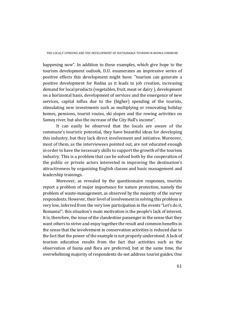happening now". In addition to these examples, which give hope to the tourism development outlook, D.U. enumerates an impressive series of positive effects this development might have: "tourism can generate a positive development for Rodna as it leads to job creation, increasing demand for local products (vegetables, fruit, meat or dairy ), development on a horizontal basis, development of services and the emergence of new services, capital influx due to the (higher) spending of the tourists, stimulating new investments such as multiplying or renovating holiday homes, pensions, tourist routes, ski slopes and the rowing activities on Somes river, but also the increase of the City Hall's income".

It can easily be observed that the locals are aware of the commune's touristic potential, they have beautiful ideas for developing this industry, but they lack direct involvement and initiative. Moreover, most of them, as the interviewees pointed out, are not educated enough in order to have the necessary skills to support the growth of the tourism industry. This is a problem that can be solved both by the cooperation of the public or private actors interested in improving the destination's attractiveness by organizing English classes and basic management and leadership trainings.

Moreover, as revealed by the questionnaire responses, tourists report a problem of major importance for nature protection, namely the problem of waste-management, as observed by the majority of the survey respondents. However, their level of involvement in solving this problem is very low, inferred from the very low participation in the events "Let's do it, Romania!"; this situation's main motivation is the people's lack of interest. It is, therefore, the issue of the clandestine passenger in the sense that they want others to strive and enjoy together the result and common benefits in the sense that the involvement in conservation activities is reduced due to the fact that the power of the example is not properly understood. A lack of tourism education results from the fact that activities such as the observation of fauna and flora are preferred, but at the same time, the overwhelming majority of respondents do not address tourist guides. One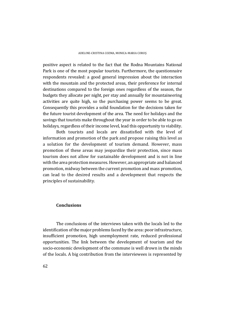positive aspect is related to the fact that the Rodna Mountains National Park is one of the most popular tourists. Furthermore, the questionnaire respondents revealed: a good general impression about the interaction with the mountain and the protected areas, their preference for internal destinations compared to the foreign ones regardless of the season, the budgets they allocate per night, per stay and annually for mountaineering activities are quite high, so the purchasing power seems to be great. Consequently this provides a solid foundation for the decisions taken for the future tourist development of the area. The need for holidays and the savings that tourists make throughout the year in order to be able to go on holidays, regardless of their income level, lead this opportunity to viability.

Both tourists and locals are dissatisfied with the level of information and promotion of the park and propose raising this level as a solution for the development of tourism demand. However, mass promotion of these areas may jeopardize their protection, since mass tourism does not allow for sustainable development and is not in line with the area protection measures. However, an appropriate and balanced promotion, midway between the current promotion and mass promotion, can lead to the desired results and a development that respects the principles of sustainability.

#### **Conclusions**

The conclusions of the interviews taken with the locals led to the identification of the major problems faced by the area: poor infrastructure, insufficient promotion, high unemployment rate, reduced professional opportunities. The link between the development of tourism and the socio-economic development of the commune is well drown in the minds of the locals. A big contribution from the interviewees is represented by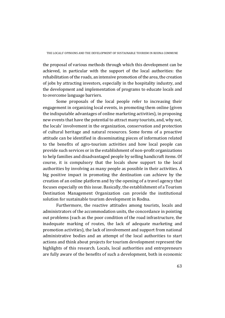the proposal of various methods through which this development can be achieved, in particular with the support of the local authorities: the rehabilitation of the roads, an intensive promotion of the area, the creation of jobs by attracting investors, especially in the hospitality industry, and the development and implementation of programs to educate locals and to overcome language barriers.

Some proposals of the local people refer to increasing their engagement in organizing local events, in promoting them online (given the indisputable advantages of online marketing activities), in proposing new events that have the potential to attract many tourists, and, why not, the locals' involvement in the organization, conservation and protection of cultural heritage and natural resources. Some forms of a proactive attitude can be identified in disseminating pieces of information related to the benefits of agro-tourism activities and how local people can provide such services or in the establishment of non-profit organizations to help families and disadvantaged people by selling handicraft items. Of course, it is compulsory that the locals show support to the local authorities by involving as many people as possible in their activities. A big positive impact in promoting the destination can achieve by the creation of an online platform and by the opening of a travel agency that focuses especially on this issue. Basically, the establishment of a Tourism Destination Management Organization can provide the institutional solution for sustainable tourism development in Rodna.

Furthermore, the reactive attitudes among tourists, locals and administrators of the accommodation units, the concordance in pointing out problems (such as the poor condition of the road infrastructure, the inadequate marking of routes, the lack of adequate marketing and promotion activities), the lack of involvement and support from national administrative bodies and an attempt of the local authorities to start actions and think about projects for tourism development represent the highlights of this research. Locals, local authorities and entrepreneurs are fully aware of the benefits of such a development, both in economic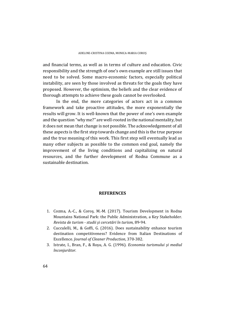and financial terms, as well as in terms of culture and education. Civic responsibility and the strength of one's own example are still issues that need to be solved. Some macro-economic factors, especially political instability, are seen by those involved as threats for the goals they have proposed. However, the optimism, the beliefs and the clear evidence of thorough attempts to achieve these goals cannot be overlooked.

In the end, the more categories of actors act in a common framework and take proactive attitudes, the more exponentially the results will grow. It is well-known that the power of one's own example and the question "why me?" are well-rooted in the national mentality, but it does not mean that change is not possible. The acknowledgement of all these aspects is the first step towards change and this is the true purpose and the true meaning of this work. This first step will eventually lead as many other subjects as possible to the common end goal, namely the improvement of the living conditions and capitalizing on natural resources, and the further development of Rodna Commune as a sustainable destination.

#### **REFERENCES**

- 1. Cozma, A.-C., & Coros, M.-M. (2017). Tourism Development in Rodna Mountains National Park: the Public Administration, a Key Stakeholder. *Revista de turism ‐ studii și cercetări în turism*, 89‐94.
- 2. Cucculelli, M., & Goffi, G. (2016). Does sustainability enhance tourism destination competitiveness? Evidence from Italian Destinations of Excellence. *Journal of Cleaner Production*, 370‐382.
- 3. Istrate, I., Bran, F., & Roșu, A. G. (1996). *Economia turismului și mediul înconjurător.*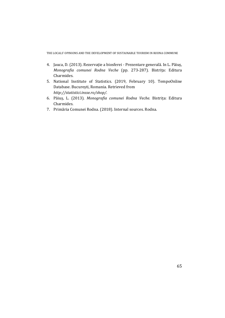- 4. Jauca, D. (2013). Rezervație a biosferei Prezentare generală. In L. Păiuș, *Monografia comunei Rodna Veche* (pp. 273‐287). Bistrița: Editura Charmides.
- 5. National Institute of Statistics. (2019, February 10). TempoOnline Database. București, Romania. Retrieved from *http://statistici.insse.ro/shop/*.
- 6. Păiuș, L. (2013). *Monografia comunei Rodna Veche.* Bistrița: Editura Charmides.
- 7. Primăria Comunei Rodna. (2018). Internal sources. Rodna.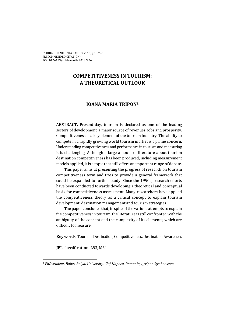# **COMPETITIVENESS IN TOURISM: A THEORETICAL OUTLOOK**

# **IOANA MARIA TRIPON1**

**ABSTRACT.** Present-day, tourism is declared as one of the leading sectors of development, a major source of revenues, jobs and prosperity. Competitiveness is a key element of the tourism industry. The ability to compete in a rapidly growing world tourism market is a prime concern. Understanding competitiveness and performance in tourism and measuring it is challenging. Although a large amount of literature about tourism destination competitiveness has been produced, including measurement models applied, it is a topic that still offers an important range of debate.

This paper aims at presenting the progress of research on tourism competitiveness term and tries to provide a general framework that could be expanded to further study. Since the 1990s, research efforts have been conducted towards developing a theoretical and conceptual basis for competitiveness assessment. Many researchers have applied the competitiveness theory as a critical concept to explain tourism development, destination management and tourism strategies.

The paper concludes that, in spite of the various attempts to explain the competitiveness in tourism, the literature is still confronted with the ambiguity of the concept and the complexity of its elements, which are difficult to measure.

**Key words:** Tourism, Destination, Competitiveness, Destination Awareness

**JEL** classification: L83, M31

 

*<sup>1</sup> PhD student, Babeş‐Bolyai University, Cluj‐Napoca, Romania, i\_tripon@yahoo.com*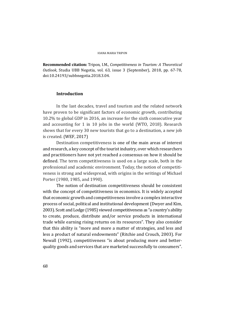**Recommended citation:** Tripon, I.M., *Competitiveness in Tourism: A Theoretical Outlook*, Studia UBB Negotia, vol. 63, issue 3 (September), 2018, pp. 67-78, doi:10.24193/subbnegotia.2018.3.04. 

# **Introduction**

In the last decades, travel and tourism and the related network have proven to be significant factors of economic growth, contributing 10.2% to global GDP in 2016, an increase for the sixth consecutive year and accounting for 1 in 10 jobs in the world (WTO, 2018). Research shows that for every 30 new tourists that go to a destination, a new job is created. (WEF, 2017)

Destination competitiveness is one of the main areas of interest and research, a key concept of the tourist industry, over which researchers and practitioners have not yet reached a consensus on how it should be defined. The term competitiveness is used on a large scale, both in the professional and academic environment. Today, the notion of competitiveness is strong and widespread, with origins in the writings of Michael Porter (1980, 1985, and 1990).

The notion of destination competitiveness should be consistent with the concept of competitiveness in economics. It is widely accepted that economic growth and competitiveness involve a complex interactive process of social, political and institutional development (Dwyer and Kim, 2003). Scott and Lodge (1985) viewed competitiveness as "a country's ability to create, produce, distribute and/or service products in international trade while earning rising returns on its resources". They also consider that this ability is "more and more a matter of strategies, and less and less a product of natural endowments" (Ritchie and Crouch, 2003). For Newall (1992), competitiveness "is about producing more and betterquality goods and services that are marketed successfully to consumers".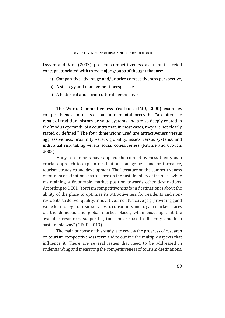Dwyer and Kim (2003) present competitiveness as a multi-faceted concept associated with three major groups of thought that are:

- a) Comparative advantage and/or price competitiveness perspective,
- b) A strategy and management perspective,
- c) A historical and socio-cultural perspective.

The World Competitiveness Yearbook (IMD, 2000) examines competitiveness in terms of four fundamental forces that "are often the result of tradition, history or value systems and are so deeply rooted in the 'modus operandi' of a country that, in most cases, they are not clearly stated or defined." The four dimensions used are attractiveness versus aggressiveness, proximity versus globality, assets versus systems, and individual risk taking versus social cohesiveness (Ritchie and Crouch, 2003). 

Many researchers have applied the competitiveness theory as a crucial approach to explain destination management and performance, tourism strategies and development. The literature on the competitiveness of tourism destinations has focused on the sustainability of the place while maintaining a favourable market position towards other destinations. According to OECD "tourism competitiveness for a destination is about the ability of the place to optimise its attractiveness for residents and nonresidents, to deliver quality, innovative, and attractive (e.g. providing good value for money) tourism services to consumers and to gain market shares on the domestic and global market places, while ensuring that the available resources supporting tourism are used efficiently and in a sustainable way" (OECD, 2013).

The main purpose of this study is to review the progress of research on tourism competitiveness term and to outline the multiple aspects that influence it. There are several issues that need to be addressed in understanding and measuring the competitiveness of tourism destinations.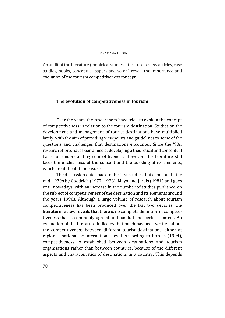An audit of the literature (empirical studies, literature review articles, case studies, books, conceptual papers and so on) reveal the importance and evolution of the tourism competitiveness concept.

# **The evolution of competitiveness in tourism**

Over the years, the researchers have tried to explain the concept of competitiveness in relation to the tourism destination. Studies on the development and management of tourist destinations have multiplied lately, with the aim of providing viewpoints and guidelines to some of the questions and challenges that destinations encounter. Since the '90s, research efforts have been aimed at developing a theoretical and conceptual basis for understanding competitiveness. However, the literature still faces the unclearness of the concept and the puzzling of its elements, which are difficult to measure.

The discussion dates back to the first studies that came out in the mid-1970s by Goodrich (1977, 1978), Mayo and Jarvis (1981) and goes until nowadays, with an increase in the number of studies published on the subject of competitiveness of the destination and its elements around the years 1990s. Although a large volume of research about tourism competitiveness has been produced over the last two decades, the literature review reveals that there is no complete definition of competetiveness that is commonly agreed and has full and perfect content. An evaluation of the literature indicates that much has been written about the competitiveness between different tourist destinations, either at regional, national or international level. According to Bordas (1994), competitiveness is established between destinations and tourism organisations rather than between countries, because of the different aspects and characteristics of destinations in a country. This depends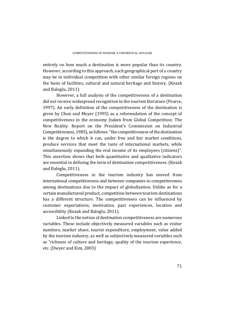entirely on how much a destination is more popular than its country. However, according to this approach, each geographical part of a country may be in individual competition with other similar foreign regions on the basis of facilities, cultural and natural heritage and history. (Kozak and Baloglu, 2011)

However, a full analysis of the competitiveness of a destination did not receive widespread recognition in the tourism literature (Pearce, 1997). An early definition of the competitiveness of the destination is given by Chon and Meyer  $(1995)$  as a reformulation of the concept of competitiveness in the economy (taken from Global Competition: The New Reality. Report on the President's Commission on Industrial Competitiveness, 1985), as follows: "the competitiveness of the destination is the degree to which it can, under free and fair market conditions, produce services that meet the taste of international markets, while simultaneously expanding the real income of its employees (citizens)". This assertion shows that both quantitative and qualitative indicators are essential in defining the term of destination competitiveness. (Kozak and Baloglu, 2011).

Competitiveness in the tourism industry has moved from international competitiveness and between companies to competitiveness among destinations due to the impact of globalisation. Unlike as for a certain manufactured product, competition between tourism destinations has a different structure. The competitiveness can be influenced by customer expectations, motivation, past experiences, location and accessibility (Kozak and Baloglu, 2011).

Linked to the notion of destination competitiveness are numerous variables. These include objectively measured variables such as visitor numbers, market share, tourist expenditure, employment, value added by the tourism industry, as well as subjectively measured variables such as "richness of culture and heritage, quality of the tourism experience, etc. (Dwyer and Kim, 2003)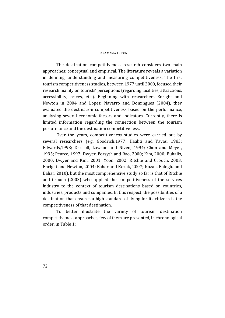The destination competitiveness research considers two main approaches: conceptual and empirical. The literature reveals a variation in defining, understanding and measuring competitiveness. The first tourism competitiveness studies, between 1977 until 2000, focused their research mainly on tourists' perceptions (regarding facilities, attractions, accessibility, prices, etc.). Beginning with researchers Enright and Newton in 2004 and Lopez, Navarro and Domingues (2004), they evaluated the destination competitiveness based on the performance, analysing several economic factors and indicators. Currently, there is limited information regarding the connection between the tourism performance and the destination competitiveness.

Over the years, competitiveness studies were carried out by several researchers (e.g. Goodrich,1977; Haahti and Yavas, 1983; Edwards,1993; Driscoll, Lawson and Niven, 1994; Chon and Meyer, 1995; Pearce, 1997; Dwyer, Forsyth and Rao, 2000; Kim, 2000; Buhalis, 2000; Dwyer and Kim, 2001; Yoon, 2002; Ritchie and Crouch, 2003; Enright and Newton, 2004; Bahar and Kozak, 2007; Kozak, Baloglu and Bahar, 2010), but the most comprehensive study so far is that of Ritchie and Crouch (2003) who applied the competitiveness of the services industry to the context of tourism destinations based on countries, industries, products and companies. In this respect, the possibilities of a destination that ensures a high standard of living for its citizens is the competitiveness of that destination.

To better illustrate the variety of tourism destination competitiveness approaches, few of them are presented, in chronological order, in Table 1: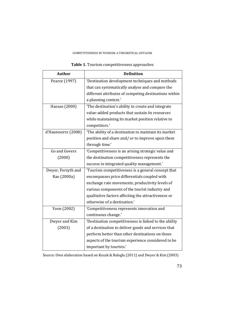## COMPETITIVENESS IN TOURISM: A THEORETICAL OUTLOOK

| <b>Author</b>       | <b>Definition</b>                                     |
|---------------------|-------------------------------------------------------|
| Pearce (1997)       | 'Destination development techniques and methods       |
|                     | that can systematically analyse and compare the       |
|                     | different attributes of competing destinations within |
|                     | a planning context.'                                  |
| Hassan (2000)       | 'The destination's ability to create and integrate    |
|                     | value-added products that sustain its resources       |
|                     | while maintaining its market position relative to     |
|                     | competitors.'                                         |
| d'Hauteserre (2000) | 'The ability of a destination to maintain its market  |
|                     | position and share and/ or to improve upon them       |
|                     | through time.'                                        |
| Go and Govers       | 'Competitiveness is an arising strategic value and    |
| (2000)              | the destination competitiveness represents the        |
|                     | success in integrated quality management.'            |
| Dwyer, Forsyth and  | 'Tourism competitiveness is a general concept that    |
| Rao (2000a)         | encompasses price differentials coupled with          |
|                     | exchange rate movements, productivity levels of       |
|                     | various components of the tourist industry and        |
|                     | qualitative factors affecting the attractiveness or   |
|                     | otherwise of a destination.'                          |
| Yoon (2002)         | 'Competitiveness represents innovation and            |
|                     | continuous change.'                                   |
| Dwyer and Kim       | 'Destination competitiveness is linked to the ability |
| (2003)              | of a destination to deliver goods and services that   |
|                     | perform better than other destinations on those       |
|                     | aspects of the tourism experience considered to be    |
|                     | important by tourists.'                               |

**Table 1.** Tourism competitiveness approaches

Source: Own elaboration based on Kozak & Baloglu (2011) and Dwyer & Kim (2003)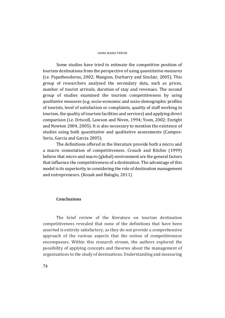Some studies have tried to estimate the competitive position of tourism destinations from the perspective of using *quantitative measures* (i.e. Papatheodorou, 2002; Mangion, Durbarry and Sinclair, 2005). This group of researchers analysed the secondary data, such as prices, number of tourist arrivals, duration of stay and revenues. The second group of studies examined the tourism competitiveness by using *qualitative measures* (e.g. socio-economic and socio-demographic profiles of tourists, level of satisfaction or complaints, quality of staff working in tourism, the quality of tourism facilities and services) and applying direct comparison (i.e. Driscoll, Lawson and Niven, 1994; Yoon, 2002; Enright and Newton 2004, 2005). It is also necessary to mention the existence of studies using both quantitative and qualitative assessments (Campos-Soria, Garcia and Garcia 2005).

The definitions offered in the literature provide both a micro and a macro connotation of competitiveness. Crouch and Ritchie (1999) believe that micro and macro (global) environment are the general factors that influence the competitiveness of a destination. The advantage of this model is its superiority in considering the role of destination management and entrepreneurs. (Kozak and Baloglu, 2011)

## **Conclusions**

The brief review of the literature on tourism destination competitiveness revealed that none of the definitions that have been asserted is entirely satisfactory, as they do not provide a comprehensive approach of the various aspects that the notion of competitiveness encompasses. Within this research stream, the authors explored the possibility of applying concepts and theories about the management of organisations to the study of destinations. Understanding and measuring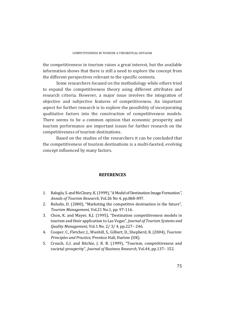the competitiveness in tourism raises a great interest, but the available information shows that there is still a need to explore the concept from the different perspectives relevant to the specific contexts.

Some researchers focused on the methodology while others tried to expand the competitiveness theory using different attributes and research criteria. However, a major issue involves the integration of objective and subjective features of competitiveness. An important aspect for further research is to explore the possibility of incorporating qualitative factors into the construction of competitiveness models. There seems to be a common opinion that economic prosperity and tourism performance are important issues for further research on the competitiveness of tourism destinations.

Based on the studies of the researchers it can be concluded that the competitiveness of tourism destinations is a multi-faceted, evolving concept influenced by many factors.

## **REFERENCES**

- 1. Baloglu, S. and McCleary, K. (1999), "A Model of Destination Image Formation", *Annals of Tourism Research*, Vol.26 No 4, pp.868‐897.
- 2. Buhalis, D. (2000), "Marketing the competitive destination in the future", *Tourism Management*, Vol.21 No.1, pp. 97-116.
- 3. Chon, K. and Mayer, K.J. (1995), "Destination competitiveness models in tourism and their application to Las Vegas", *Journal of Tourism Systems and Quality Management, Vol.1 No. 2/ 3/ 4, pp.227-246.*
- 4. Cooper, C., Fletcher, J., Wanhill, S., Gilbert, D., Shepherd, R. (2004), *Tourism: Principles and Practice, Prentice Hall, Harlow (UK).*
- 5. Crouch, G.I. and Ritchie, J. R. B. (1999), "Tourism, competitiveness and societal prosperity", *Journal of Business Research*, Vol.44, pp.137-152.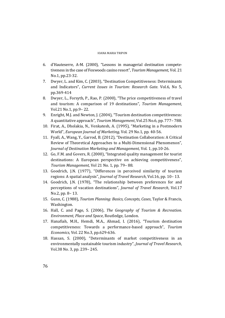## IOANA MARIA TRIPON

- 6. d'Hauteserre, A-M. (2000), "Lessons in managerial destination competetiveness in the case of Foxwoods casino resort", *Tourism Management*, Vol. 21 No.1, pp.23-32.
- 7. Dwyer, L. and Kim, C. (2003), "Destination Competitiveness: Determinants and Indicators", *Current Issues in Tourism: Research Gate*. Vol.6, No 5, pp.369‐414
- 8. Dwyer, L., Forsyth, P., Rao, P. (2000), "The price competitiveness of travel and tourism: A comparison of 19 destinations", *Tourism Management*, Vol.21 No.1, pp.9-22.
- 9. Enright, M.J. and Newton, J. (2004), "Tourism destination competitiveness: A quantitative approach", *Tourism Management*, Vol.25 No.6, pp. 777–788.
- 10. Firat, A., Dholakia, N., Venkatesh, A. (1995), "Marketing in a Postmodern World", *European Journal of Marketing*, Vol. 29 No.1, pp. 40-56.
- 11. Fyall, A., Wang, Y., Garrod, B. (2012), "Destination Collaboration: A Critical Review of Theoretical Approaches to a Multi-Dimensional Phenomenon", *Journal of Destination Marketing and Management*, Vol. 1, pp.10‐26.
- 12. Go, F.M. and Govers, R. (2000), "Integrated quality management for tourist destinations: A European perspective on achieving competitiveness", *Tourism Management,* Vol 21 No. 1, pp. 79– 88.
- 13. Goodrich, J.N. (1977), "Differences in perceived similarity of tourism regions: A spatial analysis", *Journal of Travel Research*, Vol.16, pp. 10– 13.
- 14. Goodrich, J.N. (1978), "The relationship between preferences for and perceptions of vacation destinations", *Journal of Travel Research*, Vol.17 No.2, pp. 8-13.
- 15. Gunn, C. (1988), *Tourism Planning: Basics, Concepts, Cases*, Taylor & Francis, Washington.
- 16. Hall, C. and Page, S. (2006), *The Geography of Tourism & Recreation. Environment, Place and Space*, Routledge, London.
- 17. Hanafiah, M.H., Hemdi, M.A., Ahmad, I. (2016), "Tourism destination competitiveness: Towards a performance‐based approach", *Tourism Economics*, Vol. 22 No.3, pp.629-636.
- 18. Hassan, S. (2000), "Determinants of market competitiveness in an environmentally sustainable tourism industry", *Journal of Travel Research*, Vol.38 No. 3, pp. 239– 245.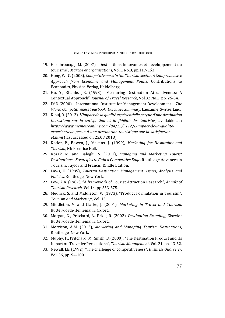- 19. Hazebroucq, J.-M. (2007), "Destinations innovantes et développement du tourisme", *Marché et organisations*, Vol.1 No.3, pp.117‐153.
- 20. Hong, W.‐C. (2008), *Competitivenessin the Tourism Sector. A Comprehensive Approach from Economic and Management Points*, Contributions to Economics, Physica-Verlag, Heidelberg.
- 21. Hu, Y., Ritchie, J.R. (1993), "Measuring Destination Attractiveness: A Contextual Approach", *Journal of Travel Research*, Vol.32 No.2, pp. 25‐34.
- 22. IMD (2000) International Institute for Management Development The *World Competitiveness Yearbook: Executive Summary*, Lausanne, Switzerland.
- 23. Klouj, R. (2012). *L'impact de la qualité expérientielle perçue d'une destination touristique sur la satisfaction et la fidélité des touristes*, available at : *https://www.memoireonline.com/04/15/9112/L‐impact‐de‐la‐qualite‐ experientielle‐perue‐d‐une‐destination‐touristique‐sur‐la‐satisfaction‐ et.html* (last accessed on 23.08.2018).
- 24. Kotler, P., Bowen, J., Makens, J. (1999), *Marketing for Hospitality and* Tourism, NJ: Prentice Hall.
- 25. Kozak, M. and Baloglu, S. (2011), *Managing and Marketing Tourist Destinations ‐ Strategies to Gain a Competitive Edge,* Routledge Advances in Tourism, Taylor and Francis, Kindle Edition.
- 26. Laws, E. (1995), *Tourism Destination Management: Issues, Analysis, and Policies*, Routledge, New York.
- 27. Lew, A.A. (1987), "A framework of Tourist Attraction Research", *Annals of Tourism Research*, Vol.14, pp.553-575.
- 28. Medlick, S. and Middleton, V. (1973), "Product Formulation in Tourism", *Tourism and Marketing, Vol. 13.*
- 29. Middleton, V. and Clarke, J. (2001), *Marketing in Travel and Tourism,* Butterworth-Heinemann, Oxford.
- 30. Morgan, N., Pritchard, A., Pride, R. (2002), *Destination Branding*, Elsevier Butterworth-Heinemann, Oxford.
- 31. Morrison, A.M. (2013), *Marketing and Managing Tourism Destinations*, Routledge, New York.
- 32. Muphy, P., Pritchard, M., Smith, B. (2000), "The Destination Product and Its Impact on Traveller Perceptions", *Tourism Management*, Vol. 21, pp. 43-52.
- 33. Newall, J.E. (1992), "The challenge of competitiveness", *Business Quarterly*, Vol.  $56$ , pp.  $94-100$